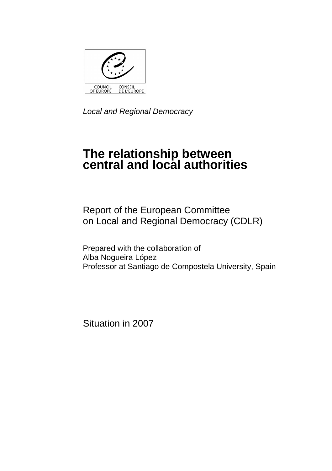

Local and Regional Democracy

# **The relationship between central and local authorities**

Report of the European Committee on Local and Regional Democracy (CDLR)

Prepared with the collaboration of Alba Nogueira López Professor at Santiago de Compostela University, Spain

Situation in 2007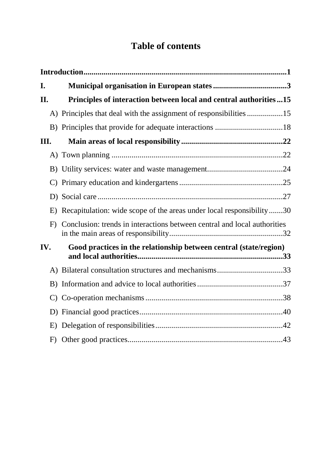## **Table of contents**

| I.  |                                                                             |
|-----|-----------------------------------------------------------------------------|
| П.  | Principles of interaction between local and central authorities15           |
|     | A) Principles that deal with the assignment of responsibilities 15          |
|     |                                                                             |
| Ш.  |                                                                             |
|     |                                                                             |
|     |                                                                             |
|     |                                                                             |
|     |                                                                             |
|     | E) Recapitulation: wide scope of the areas under local responsibility30     |
|     | F) Conclusion: trends in interactions between central and local authorities |
| IV. | Good practices in the relationship between central (state/region)           |
|     | A) Bilateral consultation structures and mechanisms33                       |
|     |                                                                             |
|     |                                                                             |
|     |                                                                             |
|     |                                                                             |
|     |                                                                             |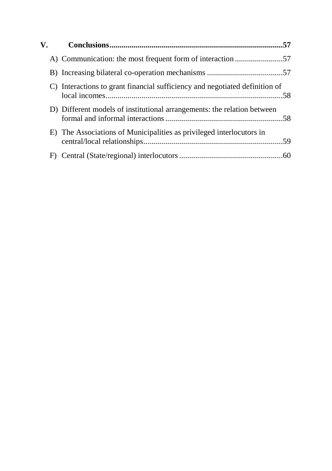| $\mathbf{V}_{\mathbf{r}}$ |                                                                             |  |
|---------------------------|-----------------------------------------------------------------------------|--|
|                           |                                                                             |  |
|                           |                                                                             |  |
|                           | C) Interactions to grant financial sufficiency and negotiated definition of |  |
|                           | D) Different models of institutional arrangements: the relation between     |  |
|                           | E) The Associations of Municipalities as privileged interlocutors in        |  |
| F)                        |                                                                             |  |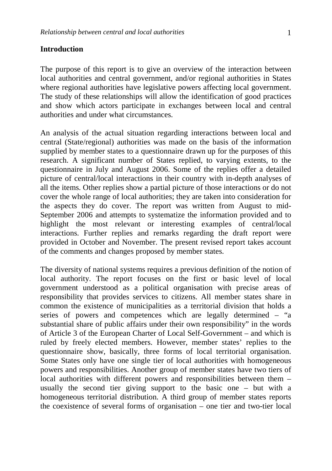#### **Introduction**

The purpose of this report is to give an overview of the interaction between local authorities and central government, and/or regional authorities in States where regional authorities have legislative powers affecting local government. The study of these relationships will allow the identification of good practices and show which actors participate in exchanges between local and central authorities and under what circumstances.

An analysis of the actual situation regarding interactions between local and central (State/regional) authorities was made on the basis of the information supplied by member states to a questionnaire drawn up for the purposes of this research. A significant number of States replied, to varying extents, to the questionnaire in July and August 2006. Some of the replies offer a detailed picture of central/local interactions in their country with in-depth analyses of all the items. Other replies show a partial picture of those interactions or do not cover the whole range of local authorities; they are taken into consideration for the aspects they do cover. The report was written from August to mid-September 2006 and attempts to systematize the information provided and to highlight the most relevant or interesting examples of central/local interactions. Further replies and remarks regarding the draft report were provided in October and November. The present revised report takes account of the comments and changes proposed by member states.

The diversity of national systems requires a previous definition of the notion of local authority. The report focuses on the first or basic level of local government understood as a political organisation with precise areas of responsibility that provides services to citizens. All member states share in common the existence of municipalities as a territorial division that holds a series of powers and competences which are legally determined – "a substantial share of public affairs under their own responsibility" in the words of Article 3 of the European Charter of Local Self-Government – and which is ruled by freely elected members. However, member states' replies to the questionnaire show, basically, three forms of local territorial organisation. Some States only have one single tier of local authorities with homogeneous powers and responsibilities. Another group of member states have two tiers of local authorities with different powers and responsibilities between them – usually the second tier giving support to the basic one – but with a homogeneous territorial distribution. A third group of member states reports the coexistence of several forms of organisation – one tier and two-tier local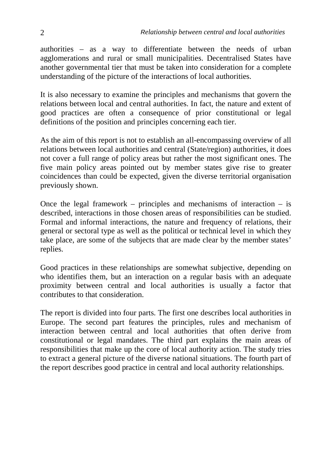authorities – as a way to differentiate between the needs of urban agglomerations and rural or small municipalities. Decentralised States have another governmental tier that must be taken into consideration for a complete understanding of the picture of the interactions of local authorities.

It is also necessary to examine the principles and mechanisms that govern the relations between local and central authorities. In fact, the nature and extent of good practices are often a consequence of prior constitutional or legal definitions of the position and principles concerning each tier.

As the aim of this report is not to establish an all-encompassing overview of all relations between local authorities and central (State/region) authorities, it does not cover a full range of policy areas but rather the most significant ones. The five main policy areas pointed out by member states give rise to greater coincidences than could be expected, given the diverse territorial organisation previously shown.

Once the legal framework – principles and mechanisms of interaction – is described, interactions in those chosen areas of responsibilities can be studied. Formal and informal interactions, the nature and frequency of relations, their general or sectoral type as well as the political or technical level in which they take place, are some of the subjects that are made clear by the member states' replies.

Good practices in these relationships are somewhat subjective, depending on who identifies them, but an interaction on a regular basis with an adequate proximity between central and local authorities is usually a factor that contributes to that consideration.

The report is divided into four parts. The first one describes local authorities in Europe. The second part features the principles, rules and mechanism of interaction between central and local authorities that often derive from constitutional or legal mandates. The third part explains the main areas of responsibilities that make up the core of local authority action. The study tries to extract a general picture of the diverse national situations. The fourth part of the report describes good practice in central and local authority relationships.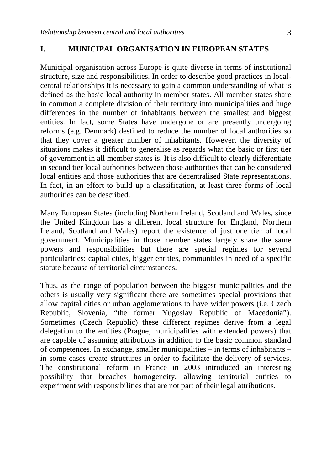#### **I. MUNICIPAL ORGANISATION IN EUROPEAN STATES**

Municipal organisation across Europe is quite diverse in terms of institutional structure, size and responsibilities. In order to describe good practices in localcentral relationships it is necessary to gain a common understanding of what is defined as the basic local authority in member states. All member states share in common a complete division of their territory into municipalities and huge differences in the number of inhabitants between the smallest and biggest entities. In fact, some States have undergone or are presently undergoing reforms (e.g. Denmark) destined to reduce the number of local authorities so that they cover a greater number of inhabitants. However, the diversity of situations makes it difficult to generalise as regards what the basic or first tier of government in all member states is. It is also difficult to clearly differentiate in second tier local authorities between those authorities that can be considered local entities and those authorities that are decentralised State representations. In fact, in an effort to build up a classification, at least three forms of local authorities can be described.

Many European States (including Northern Ireland, Scotland and Wales, since the United Kingdom has a different local structure for England, Northern Ireland, Scotland and Wales) report the existence of just one tier of local government. Municipalities in those member states largely share the same powers and responsibilities but there are special regimes for several particularities: capital cities, bigger entities, communities in need of a specific statute because of territorial circumstances.

Thus, as the range of population between the biggest municipalities and the others is usually very significant there are sometimes special provisions that allow capital cities or urban agglomerations to have wider powers (i.e. Czech Republic, Slovenia, "the former Yugoslav Republic of Macedonia"). Sometimes (Czech Republic) these different regimes derive from a legal delegation to the entities (Prague, municipalities with extended powers) that are capable of assuming attributions in addition to the basic common standard of competences. In exchange, smaller municipalities – in terms of inhabitants – in some cases create structures in order to facilitate the delivery of services. The constitutional reform in France in 2003 introduced an interesting possibility that breaches homogeneity, allowing territorial entities to experiment with responsibilities that are not part of their legal attributions.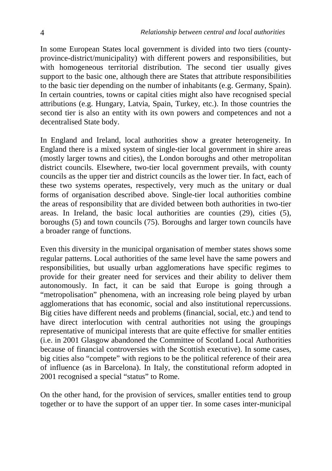In some European States local government is divided into two tiers (countyprovince-district/municipality) with different powers and responsibilities, but with homogeneous territorial distribution. The second tier usually gives support to the basic one, although there are States that attribute responsibilities to the basic tier depending on the number of inhabitants (e.g. Germany, Spain). In certain countries, towns or capital cities might also have recognised special attributions (e.g. Hungary, Latvia, Spain, Turkey, etc.). In those countries the second tier is also an entity with its own powers and competences and not a decentralised State body.

In England and Ireland, local authorities show a greater heterogeneity. In England there is a mixed system of single-tier local government in shire areas (mostly larger towns and cities), the London boroughs and other metropolitan district councils. Elsewhere, two-tier local government prevails, with county councils as the upper tier and district councils as the lower tier. In fact, each of these two systems operates, respectively, very much as the unitary or dual forms of organisation described above. Single-tier local authorities combine the areas of responsibility that are divided between both authorities in two-tier areas. In Ireland, the basic local authorities are counties (29), cities (5), boroughs (5) and town councils (75). Boroughs and larger town councils have a broader range of functions.

Even this diversity in the municipal organisation of member states shows some regular patterns. Local authorities of the same level have the same powers and responsibilities, but usually urban agglomerations have specific regimes to provide for their greater need for services and their ability to deliver them autonomously. In fact, it can be said that Europe is going through a "metropolisation" phenomena, with an increasing role being played by urban agglomerations that has economic, social and also institutional repercussions. Big cities have different needs and problems (financial, social, etc.) and tend to have direct interlocution with central authorities not using the groupings representative of municipal interests that are quite effective for smaller entities (i.e. in 2001 Glasgow abandoned the Committee of Scotland Local Authorities because of financial controversies with the Scottish executive). In some cases, big cities also "compete" with regions to be the political reference of their area of influence (as in Barcelona). In Italy, the constitutional reform adopted in 2001 recognised a special "status" to Rome.

On the other hand, for the provision of services, smaller entities tend to group together or to have the support of an upper tier. In some cases inter-municipal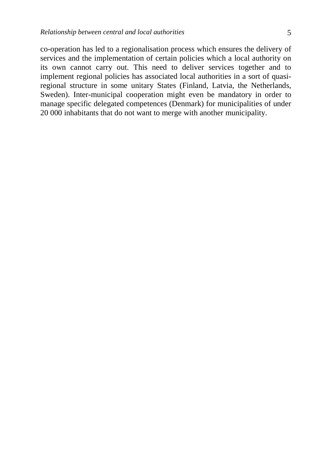co-operation has led to a regionalisation process which ensures the delivery of services and the implementation of certain policies which a local authority on its own cannot carry out. This need to deliver services together and to implement regional policies has associated local authorities in a sort of quasiregional structure in some unitary States (Finland, Latvia, the Netherlands, Sweden). Inter-municipal cooperation might even be mandatory in order to manage specific delegated competences (Denmark) for municipalities of under 20 000 inhabitants that do not want to merge with another municipality.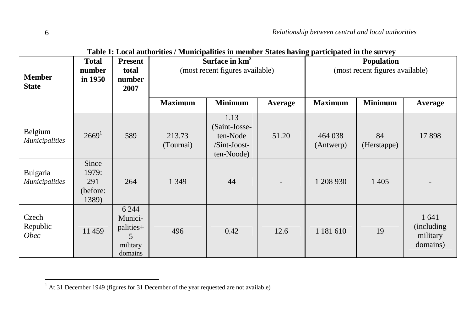| <b>Member</b><br><b>State</b>     | <b>E</b> which is not a contribution to the interpretation in intermedia between the compared in the but $\mathbf{e}_f$<br>Surface in km <sup>2</sup><br><b>Present</b><br>Total<br>(most recent figures available)<br>number<br>total<br>in 1950<br>number<br>2007 |                                                             |                     |                                                                 | <b>Population</b><br>(most recent figures available) |                      |                   |                                              |
|-----------------------------------|---------------------------------------------------------------------------------------------------------------------------------------------------------------------------------------------------------------------------------------------------------------------|-------------------------------------------------------------|---------------------|-----------------------------------------------------------------|------------------------------------------------------|----------------------|-------------------|----------------------------------------------|
|                                   |                                                                                                                                                                                                                                                                     |                                                             | <b>Maximum</b>      | <b>Minimum</b>                                                  | Average                                              | <b>Maximum</b>       | <b>Minimum</b>    | Average                                      |
| Belgium<br><b>Municipalities</b>  | 2669 <sup>1</sup>                                                                                                                                                                                                                                                   | 589                                                         | 213.73<br>(Tournai) | 1.13<br>(Saint-Josse-<br>ten-Node<br>/Sint-Joost-<br>ten-Noode) | 51.20                                                | 464 038<br>(Antwerp) | 84<br>(Herstappe) | 17898                                        |
| Bulgaria<br><b>Municipalities</b> | Since<br>1979:<br>291<br>(before:<br>1389)                                                                                                                                                                                                                          | 264                                                         | 1 3 4 9             | 44                                                              | $\overline{\phantom{a}}$                             | 1 208 930            | 1 4 0 5           |                                              |
| Czech<br>Republic<br><b>Obec</b>  | 11 459                                                                                                                                                                                                                                                              | 6 2 4 4<br>Munici-<br>palities+<br>5<br>military<br>domains | 496                 | 0.42                                                            | 12.6                                                 | 1 181 610            | 19                | 1 641<br>(including)<br>military<br>domains) |

**Table 1: Local authorities / Municipalities in member States having participated in the survey** 

 $<sup>1</sup>$  At 31 December 1949 (figures for 31 December of the year requested are not available)</sup>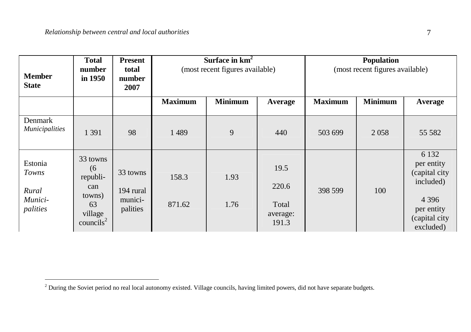| <b>Member</b><br><b>State</b>                    | <b>Total</b><br>number<br>in 1950                                                      | <b>Present</b><br>total<br>number<br>2007    | Surface in $km2$<br>(most recent figures available) |                |                                             | <b>Population</b><br>(most recent figures available) |                |                                                                                                            |
|--------------------------------------------------|----------------------------------------------------------------------------------------|----------------------------------------------|-----------------------------------------------------|----------------|---------------------------------------------|------------------------------------------------------|----------------|------------------------------------------------------------------------------------------------------------|
|                                                  |                                                                                        |                                              | <b>Maximum</b>                                      | <b>Minimum</b> | Average                                     | <b>Maximum</b>                                       | <b>Minimum</b> | Average                                                                                                    |
| Denmark<br><i>Municipalities</i>                 | 1 3 9 1                                                                                | 98                                           | 1489                                                | 9              | 440                                         | 503 699                                              | 2058           | 55 582                                                                                                     |
| Estonia<br>Towns<br>Rural<br>Munici-<br>palities | 33 towns<br>(6)<br>republi-<br>can<br>towns)<br>63<br>village<br>countils <sup>2</sup> | 33 towns<br>194 rural<br>munici-<br>palities | 158.3<br>871.62                                     | 1.93<br>1.76   | 19.5<br>220.6<br>Total<br>average:<br>191.3 | 398 599                                              | 100            | 6 1 3 2<br>per entity<br>(capital city<br>included)<br>4 3 9 6<br>per entity<br>(capital city<br>excluded) |

 $2$  During the Soviet period no real local autonomy existed. Village councils, having limited powers, did not have separate budgets.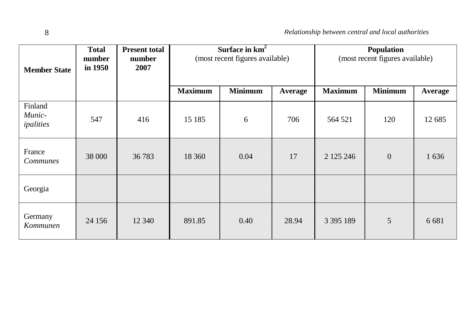| <b>Member State</b>            | Surface in $km2$<br><b>Total</b><br><b>Present total</b><br>(most recent figures available)<br>number<br>number<br>in 1950<br>2007 |        |                | Population<br>(most recent figures available) |                |                |                |         |
|--------------------------------|------------------------------------------------------------------------------------------------------------------------------------|--------|----------------|-----------------------------------------------|----------------|----------------|----------------|---------|
|                                |                                                                                                                                    |        | <b>Maximum</b> | <b>Minimum</b>                                | <b>Average</b> | <b>Maximum</b> | <b>Minimum</b> | Average |
| Finland<br>Munic-<br>ipalities | 547                                                                                                                                | 416    | 15 185         | 6                                             | 706            | 564 521        | 120            | 12 685  |
| France<br><b>Communes</b>      | 38 000                                                                                                                             | 36 783 | 18 360         | 0.04                                          | 17             | 2 1 2 5 2 4 6  | $\mathbf{0}$   | 1636    |
| Georgia                        |                                                                                                                                    |        |                |                                               |                |                |                |         |
| Germany<br>Kommunen            | 24 15 6                                                                                                                            | 12 340 | 891.85         | 0.40                                          | 28.94          | 3 3 9 5 1 8 9  | 5              | 6 6 8 1 |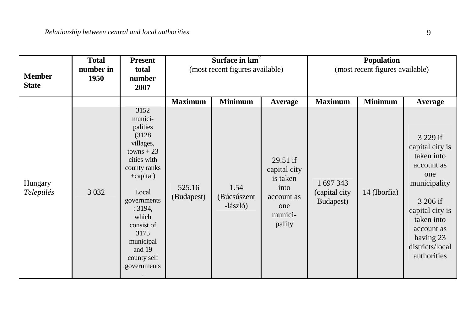| <b>Member</b><br><b>State</b> | <b>Total</b><br>number in<br>1950 | <b>Present</b><br>total<br>number<br>2007                                                                                                                                                                                             | Surface in $km2$<br>(most recent figures available) |                                 |                                                                                          | Population<br>(most recent figures available) |                |                                                                                                                                                                                          |
|-------------------------------|-----------------------------------|---------------------------------------------------------------------------------------------------------------------------------------------------------------------------------------------------------------------------------------|-----------------------------------------------------|---------------------------------|------------------------------------------------------------------------------------------|-----------------------------------------------|----------------|------------------------------------------------------------------------------------------------------------------------------------------------------------------------------------------|
|                               |                                   |                                                                                                                                                                                                                                       | <b>Maximum</b>                                      | <b>Minimum</b>                  | Average                                                                                  | <b>Maximum</b>                                | <b>Minimum</b> | Average                                                                                                                                                                                  |
| Hungary<br>Település          | 3 0 3 2                           | 3152<br>munici-<br>palities<br>(3128)<br>villages,<br>$towns + 23$<br>cities with<br>county ranks<br>+capital)<br>Local<br>governments<br>: 3194,<br>which<br>consist of<br>3175<br>municipal<br>and 19<br>county self<br>governments | 525.16<br>(Budapest)                                | 1.54<br>(Búcsúszent<br>-lászló) | $29.51$ if<br>capital city<br>is taken<br>into<br>account as<br>one<br>munici-<br>pality | 1 697 343<br>(capital city<br>Budapest)       | 14 (Iborfia)   | 3 229 if<br>capital city is<br>taken into<br>account as<br>one<br>municipality<br>3 206 if<br>capital city is<br>taken into<br>account as<br>having 23<br>districts/local<br>authorities |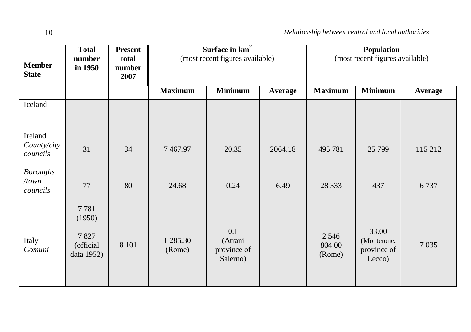| <b>Member</b><br><b>State</b>        | <b>Total</b><br>number<br>in 1950                 | <b>Present</b><br>total<br>number<br>2007 | Surface in $km2$<br>(most recent figures available) |                                           |                | Population<br>(most recent figures available) |                                               |                |
|--------------------------------------|---------------------------------------------------|-------------------------------------------|-----------------------------------------------------|-------------------------------------------|----------------|-----------------------------------------------|-----------------------------------------------|----------------|
|                                      |                                                   |                                           | <b>Maximum</b>                                      | <b>Minimum</b>                            | <b>Average</b> | <b>Maximum</b>                                | <b>Minimum</b>                                | <b>Average</b> |
| Iceland                              |                                                   |                                           |                                                     |                                           |                |                                               |                                               |                |
| Ireland<br>County/city<br>councils   | 31                                                | 34                                        | 7467.97                                             | 20.35                                     | 2064.18        | 495 781                                       | 25 7 99                                       | 115 212        |
| <b>Boroughs</b><br>/town<br>councils | 77                                                | 80                                        | 24.68                                               | 0.24                                      | 6.49           | 28 3 33                                       | 437                                           | 6737           |
| Italy<br>Comuni                      | 7781<br>(1950)<br>7827<br>(official<br>data 1952) | 8 1 0 1                                   | 1 285.30<br>(Rome)                                  | 0.1<br>(Atrani<br>province of<br>Salerno) |                | 2 5 4 6<br>804.00<br>(Rome)                   | 33.00<br>(Monterone,<br>province of<br>Lecco) | 7035           |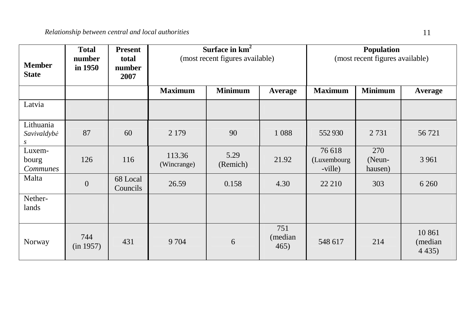| <b>Member</b><br><b>State</b>      | <b>Total</b><br>number<br>in 1950 | <b>Present</b><br>total<br>number<br>2007 | Surface in km <sup>2</sup><br>(most recent figures available) |                  |                        | <b>Population</b><br>(most recent figures available) |                          |                                 |
|------------------------------------|-----------------------------------|-------------------------------------------|---------------------------------------------------------------|------------------|------------------------|------------------------------------------------------|--------------------------|---------------------------------|
|                                    |                                   |                                           | <b>Maximum</b>                                                | <b>Minimum</b>   | Average                | <b>Maximum</b>                                       | <b>Minimum</b>           | <b>Average</b>                  |
| Latvia                             |                                   |                                           |                                                               |                  |                        |                                                      |                          |                                 |
| Lithuania<br>Savivaldybė<br>s      | 87                                | 60                                        | 2 1 7 9                                                       | 90               | 1 0 8 8                | 552930                                               | 2 7 3 1                  | 56 721                          |
| Luxem-<br>bourg<br><b>Communes</b> | 126                               | 116                                       | 113.36<br>(Wincrange)                                         | 5.29<br>(Remich) | 21.92                  | 76 618<br>(Luxembourg<br>-ville)                     | 270<br>(Neun-<br>hausen) | 3 9 6 1                         |
| Malta                              | $\overline{0}$                    | 68 Local<br>Councils                      | 26.59                                                         | 0.158            | 4.30                   | 22 210                                               | 303                      | 6 2 6 0                         |
| Nether-<br>lands                   |                                   |                                           |                                                               |                  |                        |                                                      |                          |                                 |
| Norway                             | 744<br>(in 1957)                  | 431                                       | 9704                                                          | 6                | 751<br>(median<br>465) | 548 617                                              | 214                      | 10 861<br>(median)<br>4 4 3 5 ) |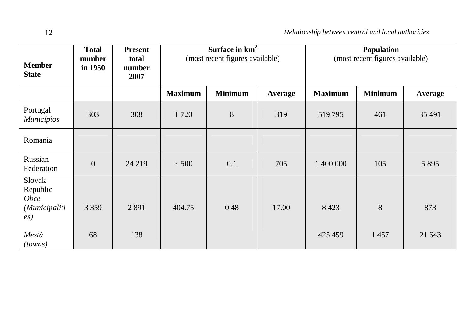| <b>Member</b><br><b>State</b>                                               | <b>Total</b><br>number<br>in 1950 | <b>Present</b><br>total<br>number<br>2007 | Surface in $km^2$<br>(most recent figures available) |                |         | Population<br>(most recent figures available) |                |         |
|-----------------------------------------------------------------------------|-----------------------------------|-------------------------------------------|------------------------------------------------------|----------------|---------|-----------------------------------------------|----------------|---------|
|                                                                             |                                   |                                           | <b>Maximum</b>                                       | <b>Minimum</b> | Average | <b>Maximum</b>                                | <b>Minimum</b> | Average |
| Portugal<br>Municípios                                                      | 303                               | 308                                       | 1720                                                 | 8              | 319     | 519795                                        | 461            | 35 491  |
| Romania                                                                     |                                   |                                           |                                                      |                |         |                                               |                |         |
| Russian<br>Federation                                                       | $\boldsymbol{0}$                  | 24 219                                    | $\sim 500$                                           | 0.1            | 705     | 1 400 000                                     | 105            | 5 8 9 5 |
| Slovak<br>Republic<br><b>Obce</b><br>(Municipaliti<br>$\left( e_{S}\right)$ | 3 3 5 9                           | 2891                                      | 404.75                                               | 0.48           | 17.00   | 8 4 2 3                                       | 8              | 873     |
| Mestá<br>(towns)                                                            | 68                                | 138                                       |                                                      |                |         | 425 459                                       | 1457           | 21 643  |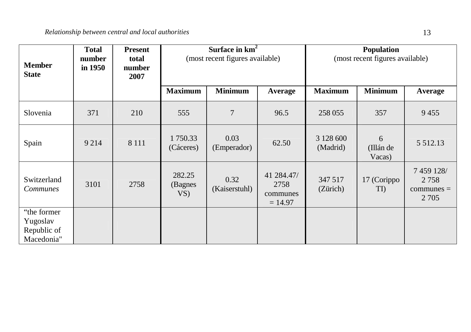| <b>Member</b><br><b>State</b>                        | <b>Total</b><br>number<br>in 1950 | <b>Present</b><br>total<br>number<br>2007 | Surface in $km2$<br>(most recent figures available) |                       |                                             | Population<br>(most recent figures available) |                          |                                               |  |
|------------------------------------------------------|-----------------------------------|-------------------------------------------|-----------------------------------------------------|-----------------------|---------------------------------------------|-----------------------------------------------|--------------------------|-----------------------------------------------|--|
|                                                      |                                   |                                           | <b>Maximum</b>                                      | <b>Minimum</b>        | Average                                     | <b>Maximum</b>                                | <b>Minimum</b>           | Average                                       |  |
| Slovenia                                             | 371                               | 210                                       | 555                                                 | $\overline{7}$        | 96.5                                        | 258 055                                       | 357                      | 9455                                          |  |
| Spain                                                | 9 2 1 4                           | 8 1 1 1                                   | 1750.33<br>(Cáceres)                                | 0.03<br>(Emperador)   | 62.50                                       | 3 128 600<br>(Madrid)                         | 6<br>(Illán de<br>Vacas) | 5 5 1 2 . 1 3                                 |  |
| Switzerland<br>Communes                              | 3101                              | 2758                                      | 282.25<br>(Bagnes<br>VS)                            | 0.32<br>(Kaiserstuhl) | 41 284.47/<br>2758<br>communes<br>$= 14.97$ | 347 517<br>(Zürich)                           | 17 (Corippo<br>TI)       | 7 459 128/<br>2758<br>$communes =$<br>2 7 0 5 |  |
| "the former<br>Yugoslav<br>Republic of<br>Macedonia" |                                   |                                           |                                                     |                       |                                             |                                               |                          |                                               |  |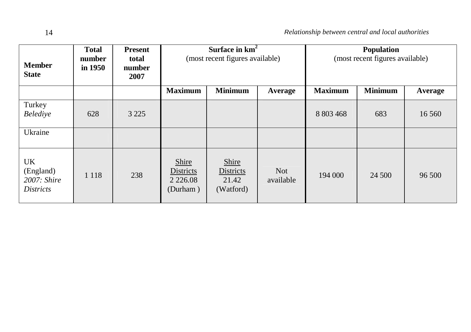| <b>Member</b><br><b>State</b>                         | <b>Total</b><br>number<br>in 1950 | <b>Present</b><br>total<br>number<br>2007 | Surface in $km2$<br>(most recent figures available) |                                                 |                         | Population<br>(most recent figures available) |                |         |
|-------------------------------------------------------|-----------------------------------|-------------------------------------------|-----------------------------------------------------|-------------------------------------------------|-------------------------|-----------------------------------------------|----------------|---------|
|                                                       |                                   |                                           | <b>Minimum</b><br><b>Maximum</b><br>Average         |                                                 |                         | <b>Maximum</b>                                | <b>Minimum</b> | Average |
| Turkey<br>Belediye                                    | 628                               | 3 2 2 5                                   |                                                     |                                                 |                         | 8 803 468                                     | 683            | 16 560  |
| Ukraine                                               |                                   |                                           |                                                     |                                                 |                         |                                               |                |         |
| UK<br>(England)<br>$2007$ : Shire<br><i>Districts</i> | 1 1 1 8                           | 238                                       | Shire<br>Districts<br>2 2 2 6 .08<br>(Durham)       | Shire<br><b>Districts</b><br>21.42<br>(Watford) | <b>Not</b><br>available | 194 000                                       | 24 500         | 96 500  |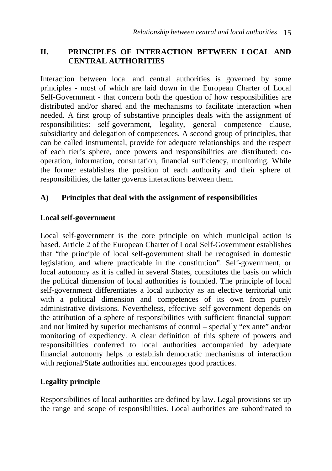#### **II. PRINCIPLES OF INTERACTION BETWEEN LOCAL AND CENTRAL AUTHORITIES**

Interaction between local and central authorities is governed by some principles - most of which are laid down in the European Charter of Local Self-Government - that concern both the question of how responsibilities are distributed and/or shared and the mechanisms to facilitate interaction when needed. A first group of substantive principles deals with the assignment of responsibilities: self-government, legality, general competence clause, subsidiarity and delegation of competences. A second group of principles, that can be called instrumental, provide for adequate relationships and the respect of each tier's sphere, once powers and responsibilities are distributed: cooperation, information, consultation, financial sufficiency, monitoring. While the former establishes the position of each authority and their sphere of responsibilities, the latter governs interactions between them.

#### **A) Principles that deal with the assignment of responsibilities**

#### **Local self-government**

Local self-government is the core principle on which municipal action is based. Article 2 of the European Charter of Local Self-Government establishes that "the principle of local self-government shall be recognised in domestic legislation, and where practicable in the constitution". Self-government, or local autonomy as it is called in several States, constitutes the basis on which the political dimension of local authorities is founded. The principle of local self-government differentiates a local authority as an elective territorial unit with a political dimension and competences of its own from purely administrative divisions. Nevertheless, effective self-government depends on the attribution of a sphere of responsibilities with sufficient financial support and not limited by superior mechanisms of control – specially "ex ante" and/or monitoring of expediency. A clear definition of this sphere of powers and responsibilities conferred to local authorities accompanied by adequate financial autonomy helps to establish democratic mechanisms of interaction with regional/State authorities and encourages good practices.

## **Legality principle**

Responsibilities of local authorities are defined by law. Legal provisions set up the range and scope of responsibilities. Local authorities are subordinated to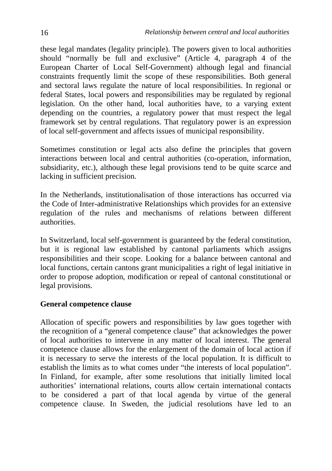these legal mandates (legality principle). The powers given to local authorities should "normally be full and exclusive" (Article 4, paragraph 4 of the European Charter of Local Self-Government) although legal and financial constraints frequently limit the scope of these responsibilities. Both general and sectoral laws regulate the nature of local responsibilities. In regional or federal States, local powers and responsibilities may be regulated by regional legislation. On the other hand, local authorities have, to a varying extent depending on the countries, a regulatory power that must respect the legal framework set by central regulations. That regulatory power is an expression of local self-government and affects issues of municipal responsibility.

Sometimes constitution or legal acts also define the principles that govern interactions between local and central authorities (co-operation, information, subsidiarity, etc.), although these legal provisions tend to be quite scarce and lacking in sufficient precision.

In the Netherlands, institutionalisation of those interactions has occurred via the Code of Inter-administrative Relationships which provides for an extensive regulation of the rules and mechanisms of relations between different authorities.

In Switzerland, local self-government is guaranteed by the federal constitution, but it is regional law established by cantonal parliaments which assigns responsibilities and their scope. Looking for a balance between cantonal and local functions, certain cantons grant municipalities a right of legal initiative in order to propose adoption, modification or repeal of cantonal constitutional or legal provisions.

#### **General competence clause**

Allocation of specific powers and responsibilities by law goes together with the recognition of a "general competence clause" that acknowledges the power of local authorities to intervene in any matter of local interest. The general competence clause allows for the enlargement of the domain of local action if it is necessary to serve the interests of the local population. It is difficult to establish the limits as to what comes under "the interests of local population". In Finland, for example, after some resolutions that initially limited local authorities' international relations, courts allow certain international contacts to be considered a part of that local agenda by virtue of the general competence clause. In Sweden, the judicial resolutions have led to an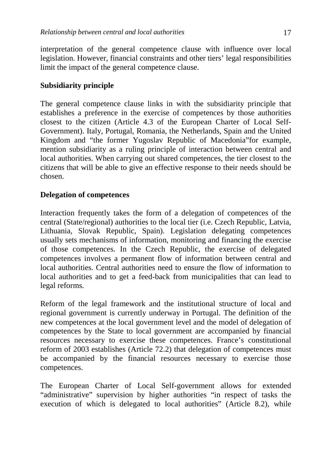interpretation of the general competence clause with influence over local legislation. However, financial constraints and other tiers' legal responsibilities limit the impact of the general competence clause.

#### **Subsidiarity principle**

The general competence clause links in with the subsidiarity principle that establishes a preference in the exercise of competences by those authorities closest to the citizen (Article 4.3 of the European Charter of Local Self-Government). Italy, Portugal, Romania, the Netherlands, Spain and the United Kingdom and "the former Yugoslav Republic of Macedonia"for example, mention subsidiarity as a ruling principle of interaction between central and local authorities. When carrying out shared competences, the tier closest to the citizens that will be able to give an effective response to their needs should be chosen.

#### **Delegation of competences**

Interaction frequently takes the form of a delegation of competences of the central (State/regional) authorities to the local tier (i.e. Czech Republic, Latvia, Lithuania, Slovak Republic, Spain). Legislation delegating competences usually sets mechanisms of information, monitoring and financing the exercise of those competences. In the Czech Republic, the exercise of delegated competences involves a permanent flow of information between central and local authorities. Central authorities need to ensure the flow of information to local authorities and to get a feed-back from municipalities that can lead to legal reforms.

Reform of the legal framework and the institutional structure of local and regional government is currently underway in Portugal. The definition of the new competences at the local government level and the model of delegation of competences by the State to local government are accompanied by financial resources necessary to exercise these competences. France's constitutional reform of 2003 establishes (Article 72.2) that delegation of competences must be accompanied by the financial resources necessary to exercise those competences.

The European Charter of Local Self-government allows for extended "administrative" supervision by higher authorities "in respect of tasks the execution of which is delegated to local authorities" (Article 8.2), while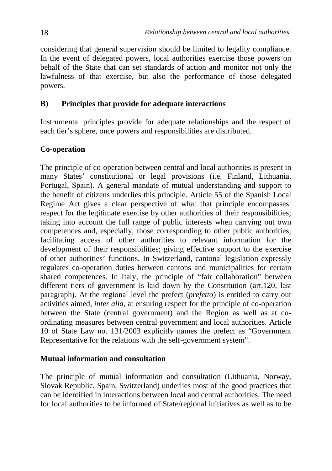considering that general supervision should be limited to legality compliance. In the event of delegated powers, local authorities exercise those powers on behalf of the State that can set standards of action and monitor not only the lawfulness of that exercise, but also the performance of those delegated powers.

#### **B) Principles that provide for adequate interactions**

Instrumental principles provide for adequate relationships and the respect of each tier's sphere, once powers and responsibilities are distributed.

#### **Co-operation**

The principle of co-operation between central and local authorities is present in many States' constitutional or legal provisions (i.e. Finland, Lithuania, Portugal, Spain). A general mandate of mutual understanding and support to the benefit of citizens underlies this principle. Article 55 of the Spanish Local Regime Act gives a clear perspective of what that principle encompasses: respect for the legitimate exercise by other authorities of their responsibilities; taking into account the full range of public interests when carrying out own competences and, especially, those corresponding to other public authorities; facilitating access of other authorities to relevant information for the development of their responsibilities; giving effective support to the exercise of other authorities' functions. In Switzerland, cantonal legislation expressly regulates co-operation duties between cantons and municipalities for certain shared competences. In Italy, the principle of "fair collaboration" between different tiers of government is laid down by the Constitution (art.120, last paragraph). At the regional level the prefect (*prefetto*) is entitled to carry out activities aimed, *inter alia*, at ensuring respect for the principle of co-operation between the State (central government) and the Region as well as at coordinating measures between central government and local authorities. Article 10 of State Law no. 131/2003 explicitly names the prefect as "Government Representative for the relations with the self-government system".

#### **Mutual information and consultation**

The principle of mutual information and consultation (Lithuania, Norway, Slovak Republic, Spain, Switzerland) underlies most of the good practices that can be identified in interactions between local and central authorities. The need for local authorities to be informed of State/regional initiatives as well as to be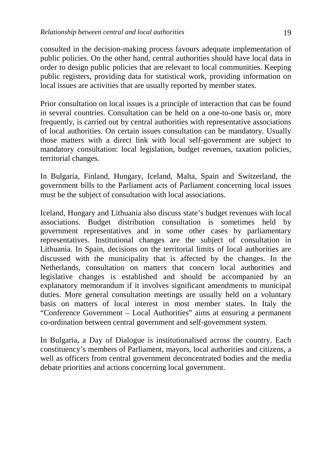consulted in the decision-making process favours adequate implementation of public policies. On the other hand, central authorities should have local data in order to design public policies that are relevant to local communities. Keeping public registers, providing data for statistical work, providing information on local issues are activities that are usually reported by member states.

Prior consultation on local issues is a principle of interaction that can be found in several countries. Consultation can be held on a one-to-one basis or, more frequently, is carried out by central authorities with representative associations of local authorities. On certain issues consultation can be mandatory. Usually those matters with a direct link with local self-government are subject to mandatory consultation: local legislation, budget revenues, taxation policies, territorial changes.

In Bulgaria, Finland, Hungary, Iceland, Malta, Spain and Switzerland, the government bills to the Parliament acts of Parliament concerning local issues must be the subject of consultation with local associations.

Iceland, Hungary and Lithuania also discuss state's budget revenues with local associations. Budget distribution consultation is sometimes held by government representatives and in some other cases by parliamentary representatives. Institutional changes are the subject of consultation in Lithuania. In Spain, decisions on the territorial limits of local authorities are discussed with the municipality that is affected by the changes. In the Netherlands, consultation on matters that concern local authorities and legislative changes is established and should be accompanied by an explanatory memorandum if it involves significant amendments to municipal duties. More general consultation meetings are usually held on a voluntary basis on matters of local interest in most member states. In Italy the "Conference Government – Local Authorities" aims at ensuring a permanent co-ordination between central government and self-government system.

In Bulgaria, a Day of Dialogue is institutionalised across the country. Each constituency's members of Parliament, mayors, local authorities and citizens, a well as officers from central government deconcentrated bodies and the media debate priorities and actions concerning local government.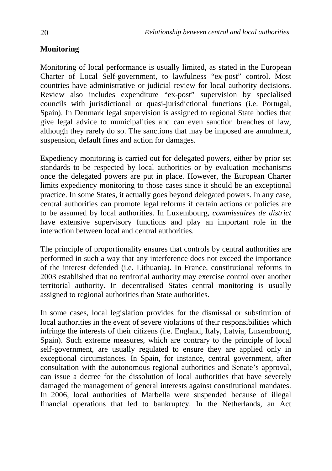## **Monitoring**

Monitoring of local performance is usually limited, as stated in the European Charter of Local Self-government, to lawfulness "ex-post" control. Most countries have administrative or judicial review for local authority decisions. Review also includes expenditure "ex-post" supervision by specialised councils with jurisdictional or quasi-jurisdictional functions (i.e. Portugal, Spain). In Denmark legal supervision is assigned to regional State bodies that give legal advice to municipalities and can even sanction breaches of law, although they rarely do so. The sanctions that may be imposed are annulment, suspension, default fines and action for damages.

Expediency monitoring is carried out for delegated powers, either by prior set standards to be respected by local authorities or by evaluation mechanisms once the delegated powers are put in place. However, the European Charter limits expediency monitoring to those cases since it should be an exceptional practice. In some States, it actually goes beyond delegated powers. In any case, central authorities can promote legal reforms if certain actions or policies are to be assumed by local authorities. In Luxembourg, *commissaires de district* have extensive supervisory functions and play an important role in the interaction between local and central authorities.

The principle of proportionality ensures that controls by central authorities are performed in such a way that any interference does not exceed the importance of the interest defended (i.e. Lithuania). In France, constitutional reforms in 2003 established that no territorial authority may exercise control over another territorial authority. In decentralised States central monitoring is usually assigned to regional authorities than State authorities.

In some cases, local legislation provides for the dismissal or substitution of local authorities in the event of severe violations of their responsibilities which infringe the interests of their citizens (i.e. England, Italy, Latvia, Luxembourg, Spain). Such extreme measures, which are contrary to the principle of local self-government, are usually regulated to ensure they are applied only in exceptional circumstances. In Spain, for instance, central government, after consultation with the autonomous regional authorities and Senate's approval, can issue a decree for the dissolution of local authorities that have severely damaged the management of general interests against constitutional mandates. In 2006, local authorities of Marbella were suspended because of illegal financial operations that led to bankruptcy. In the Netherlands, an Act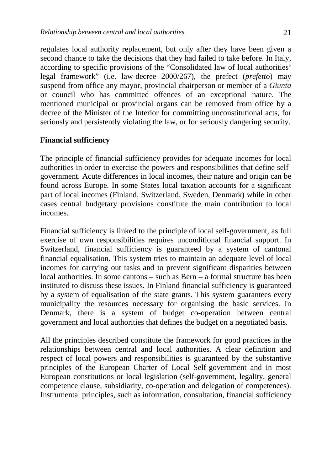regulates local authority replacement, but only after they have been given a second chance to take the decisions that they had failed to take before. In Italy, according to specific provisions of the "Consolidated law of local authorities' legal framework" (i.e. law-decree 2000/267), the prefect (*prefetto*) may suspend from office any mayor, provincial chairperson or member of a *Giunta* or council who has committed offences of an exceptional nature. The mentioned municipal or provincial organs can be removed from office by a decree of the Minister of the Interior for committing unconstitutional acts, for seriously and persistently violating the law, or for seriously dangering security.

#### **Financial sufficiency**

The principle of financial sufficiency provides for adequate incomes for local authorities in order to exercise the powers and responsibilities that define selfgovernment. Acute differences in local incomes, their nature and origin can be found across Europe. In some States local taxation accounts for a significant part of local incomes (Finland, Switzerland, Sweden, Denmark) while in other cases central budgetary provisions constitute the main contribution to local incomes.

Financial sufficiency is linked to the principle of local self-government, as full exercise of own responsibilities requires unconditional financial support. In Switzerland, financial sufficiency is guaranteed by a system of cantonal financial equalisation. This system tries to maintain an adequate level of local incomes for carrying out tasks and to prevent significant disparities between local authorities. In some cantons – such as Bern – a formal structure has been instituted to discuss these issues. In Finland financial sufficiency is guaranteed by a system of equalisation of the state grants. This system guarantees every municipality the resources necessary for organising the basic services. In Denmark, there is a system of budget co-operation between central government and local authorities that defines the budget on a negotiated basis.

All the principles described constitute the framework for good practices in the relationships between central and local authorities. A clear definition and respect of local powers and responsibilities is guaranteed by the substantive principles of the European Charter of Local Self-government and in most European constitutions or local legislation (self-government, legality, general competence clause, subsidiarity, co-operation and delegation of competences). Instrumental principles, such as information, consultation, financial sufficiency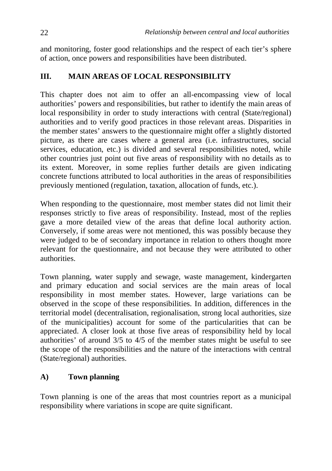and monitoring, foster good relationships and the respect of each tier's sphere of action, once powers and responsibilities have been distributed.

## **III. MAIN AREAS OF LOCAL RESPONSIBILITY**

This chapter does not aim to offer an all-encompassing view of local authorities' powers and responsibilities, but rather to identify the main areas of local responsibility in order to study interactions with central (State/regional) authorities and to verify good practices in those relevant areas. Disparities in the member states' answers to the questionnaire might offer a slightly distorted picture, as there are cases where a general area (i.e. infrastructures, social services, education, etc.) is divided and several responsibilities noted, while other countries just point out five areas of responsibility with no details as to its extent. Moreover, in some replies further details are given indicating concrete functions attributed to local authorities in the areas of responsibilities previously mentioned (regulation, taxation, allocation of funds, etc.).

When responding to the questionnaire, most member states did not limit their responses strictly to five areas of responsibility. Instead, most of the replies gave a more detailed view of the areas that define local authority action. Conversely, if some areas were not mentioned, this was possibly because they were judged to be of secondary importance in relation to others thought more relevant for the questionnaire, and not because they were attributed to other authorities.

Town planning, water supply and sewage, waste management, kindergarten and primary education and social services are the main areas of local responsibility in most member states. However, large variations can be observed in the scope of these responsibilities. In addition, differences in the territorial model (decentralisation, regionalisation, strong local authorities, size of the municipalities) account for some of the particularities that can be appreciated. A closer look at those five areas of responsibility held by local authorities' of around 3/5 to 4/5 of the member states might be useful to see the scope of the responsibilities and the nature of the interactions with central (State/regional) authorities.

## **A) Town planning**

Town planning is one of the areas that most countries report as a municipal responsibility where variations in scope are quite significant.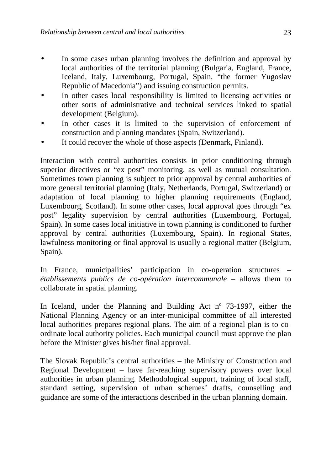- In some cases urban planning involves the definition and approval by local authorities of the territorial planning (Bulgaria, England, France, Iceland, Italy, Luxembourg, Portugal, Spain, "the former Yugoslav Republic of Macedonia") and issuing construction permits.
- In other cases local responsibility is limited to licensing activities or other sorts of administrative and technical services linked to spatial development (Belgium).
- In other cases it is limited to the supervision of enforcement of construction and planning mandates (Spain, Switzerland).
- It could recover the whole of those aspects (Denmark, Finland).

Interaction with central authorities consists in prior conditioning through superior directives or "ex post" monitoring, as well as mutual consultation. Sometimes town planning is subject to prior approval by central authorities of more general territorial planning (Italy, Netherlands, Portugal, Switzerland) or adaptation of local planning to higher planning requirements (England, Luxembourg, Scotland). In some other cases, local approval goes through "ex post" legality supervision by central authorities (Luxembourg, Portugal, Spain). In some cases local initiative in town planning is conditioned to further approval by central authorities (Luxembourg, Spain). In regional States, lawfulness monitoring or final approval is usually a regional matter (Belgium, Spain).

In France, municipalities' participation in co-operation structures – *établissements publics de co-opération intercommunale* – allows them to collaborate in spatial planning.

In Iceland, under the Planning and Building Act nº 73-1997, either the National Planning Agency or an inter-municipal committee of all interested local authorities prepares regional plans. The aim of a regional plan is to coordinate local authority policies. Each municipal council must approve the plan before the Minister gives his/her final approval.

The Slovak Republic's central authorities – the Ministry of Construction and Regional Development – have far-reaching supervisory powers over local authorities in urban planning. Methodological support, training of local staff, standard setting, supervision of urban schemes' drafts, counselling and guidance are some of the interactions described in the urban planning domain.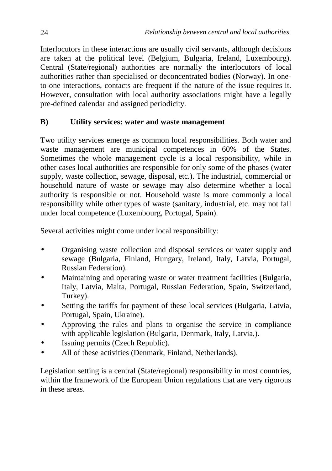Interlocutors in these interactions are usually civil servants, although decisions are taken at the political level (Belgium, Bulgaria, Ireland, Luxembourg). Central (State/regional) authorities are normally the interlocutors of local authorities rather than specialised or deconcentrated bodies (Norway). In oneto-one interactions, contacts are frequent if the nature of the issue requires it. However, consultation with local authority associations might have a legally pre-defined calendar and assigned periodicity.

#### **B) Utility services: water and waste management**

Two utility services emerge as common local responsibilities. Both water and waste management are municipal competences in 60% of the States. Sometimes the whole management cycle is a local responsibility, while in other cases local authorities are responsible for only some of the phases (water supply, waste collection, sewage, disposal, etc.). The industrial, commercial or household nature of waste or sewage may also determine whether a local authority is responsible or not. Household waste is more commonly a local responsibility while other types of waste (sanitary, industrial, etc. may not fall under local competence (Luxembourg, Portugal, Spain).

Several activities might come under local responsibility:

- Organising waste collection and disposal services or water supply and sewage (Bulgaria, Finland, Hungary, Ireland, Italy, Latvia, Portugal, Russian Federation).
- Maintaining and operating waste or water treatment facilities (Bulgaria, Italy, Latvia, Malta, Portugal, Russian Federation, Spain, Switzerland, Turkey).
- Setting the tariffs for payment of these local services (Bulgaria, Latvia, Portugal, Spain, Ukraine).
- Approving the rules and plans to organise the service in compliance with applicable legislation (Bulgaria, Denmark, Italy, Latvia,).
- Issuing permits (Czech Republic).
- All of these activities (Denmark, Finland, Netherlands).

Legislation setting is a central (State/regional) responsibility in most countries, within the framework of the European Union regulations that are very rigorous in these areas.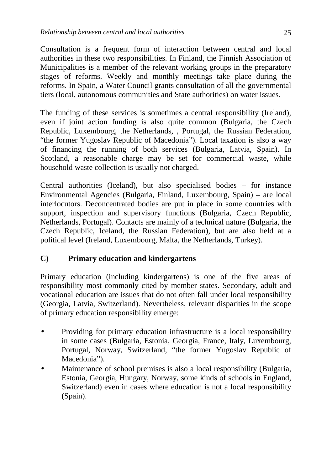Consultation is a frequent form of interaction between central and local authorities in these two responsibilities. In Finland, the Finnish Association of Municipalities is a member of the relevant working groups in the preparatory stages of reforms. Weekly and monthly meetings take place during the reforms. In Spain, a Water Council grants consultation of all the governmental tiers (local, autonomous communities and State authorities) on water issues.

The funding of these services is sometimes a central responsibility (Ireland), even if joint action funding is also quite common (Bulgaria, the Czech Republic, Luxembourg, the Netherlands, , Portugal, the Russian Federation, "the former Yugoslav Republic of Macedonia"). Local taxation is also a way of financing the running of both services (Bulgaria, Latvia, Spain). In Scotland, a reasonable charge may be set for commercial waste, while household waste collection is usually not charged.

Central authorities (Iceland), but also specialised bodies – for instance Environmental Agencies (Bulgaria, Finland, Luxembourg, Spain) – are local interlocutors. Deconcentrated bodies are put in place in some countries with support, inspection and supervisory functions (Bulgaria, Czech Republic, Netherlands, Portugal). Contacts are mainly of a technical nature (Bulgaria, the Czech Republic, Iceland, the Russian Federation), but are also held at a political level (Ireland, Luxembourg, Malta, the Netherlands, Turkey).

## **C) Primary education and kindergartens**

Primary education (including kindergartens) is one of the five areas of responsibility most commonly cited by member states. Secondary, adult and vocational education are issues that do not often fall under local responsibility (Georgia, Latvia, Switzerland). Nevertheless, relevant disparities in the scope of primary education responsibility emerge:

- Providing for primary education infrastructure is a local responsibility in some cases (Bulgaria, Estonia, Georgia, France, Italy, Luxembourg, Portugal, Norway, Switzerland, "the former Yugoslav Republic of Macedonia").
- Maintenance of school premises is also a local responsibility (Bulgaria, Estonia, Georgia, Hungary, Norway, some kinds of schools in England, Switzerland) even in cases where education is not a local responsibility (Spain).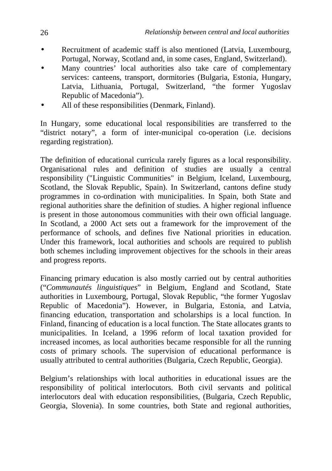- Recruitment of academic staff is also mentioned (Latvia, Luxembourg, Portugal, Norway, Scotland and, in some cases, England, Switzerland).
- Many countries' local authorities also take care of complementary services: canteens, transport, dormitories (Bulgaria, Estonia, Hungary, Latvia, Lithuania, Portugal, Switzerland, "the former Yugoslav Republic of Macedonia").
- All of these responsibilities (Denmark, Finland).

In Hungary, some educational local responsibilities are transferred to the "district notary", a form of inter-municipal co-operation (i.e. decisions regarding registration).

The definition of educational curricula rarely figures as a local responsibility. Organisational rules and definition of studies are usually a central responsibility ("Linguistic Communities" in Belgium, Iceland, Luxembourg, Scotland, the Slovak Republic, Spain). In Switzerland, cantons define study programmes in co-ordination with municipalities. In Spain, both State and regional authorities share the definition of studies. A higher regional influence is present in those autonomous communities with their own official language. In Scotland, a 2000 Act sets out a framework for the improvement of the performance of schools, and defines five National priorities in education. Under this framework, local authorities and schools are required to publish both schemes including improvement objectives for the schools in their areas and progress reports.

Financing primary education is also mostly carried out by central authorities ("*Communautés linguistiques*" in Belgium, England and Scotland, State authorities in Luxembourg, Portugal, Slovak Republic, "the former Yugoslav Republic of Macedonia"). However, in Bulgaria, Estonia, and Latvia, financing education, transportation and scholarships is a local function. In Finland, financing of education is a local function. The State allocates grants to municipalities. In Iceland, a 1996 reform of local taxation provided for increased incomes, as local authorities became responsible for all the running costs of primary schools. The supervision of educational performance is usually attributed to central authorities (Bulgaria, Czech Republic, Georgia).

Belgium's relationships with local authorities in educational issues are the responsibility of political interlocutors. Both civil servants and political interlocutors deal with education responsibilities, (Bulgaria, Czech Republic, Georgia, Slovenia). In some countries, both State and regional authorities,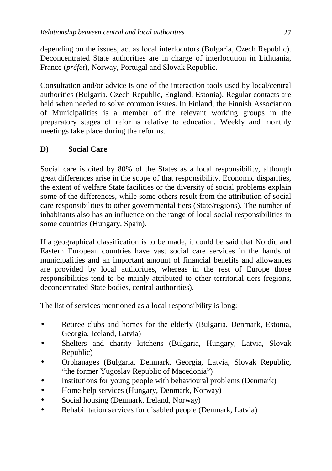depending on the issues, act as local interlocutors (Bulgaria, Czech Republic). Deconcentrated State authorities are in charge of interlocution in Lithuania, France (*préfet*), Norway, Portugal and Slovak Republic.

Consultation and/or advice is one of the interaction tools used by local/central authorities (Bulgaria, Czech Republic, England, Estonia). Regular contacts are held when needed to solve common issues. In Finland, the Finnish Association of Municipalities is a member of the relevant working groups in the preparatory stages of reforms relative to education. Weekly and monthly meetings take place during the reforms.

## **D) Social Care**

Social care is cited by 80% of the States as a local responsibility, although great differences arise in the scope of that responsibility. Economic disparities, the extent of welfare State facilities or the diversity of social problems explain some of the differences, while some others result from the attribution of social care responsibilities to other governmental tiers (State/regions). The number of inhabitants also has an influence on the range of local social responsibilities in some countries (Hungary, Spain).

If a geographical classification is to be made, it could be said that Nordic and Eastern European countries have vast social care services in the hands of municipalities and an important amount of financial benefits and allowances are provided by local authorities, whereas in the rest of Europe those responsibilities tend to be mainly attributed to other territorial tiers (regions, deconcentrated State bodies, central authorities).

The list of services mentioned as a local responsibility is long:

- Retiree clubs and homes for the elderly (Bulgaria, Denmark, Estonia, Georgia, Iceland, Latvia)
- Shelters and charity kitchens (Bulgaria, Hungary, Latvia, Slovak Republic)
- Orphanages (Bulgaria, Denmark, Georgia, Latvia, Slovak Republic, "the former Yugoslav Republic of Macedonia")
- Institutions for young people with behavioural problems (Denmark)
- Home help services (Hungary, Denmark, Norway)
- Social housing (Denmark, Ireland, Norway)
- Rehabilitation services for disabled people (Denmark, Latvia)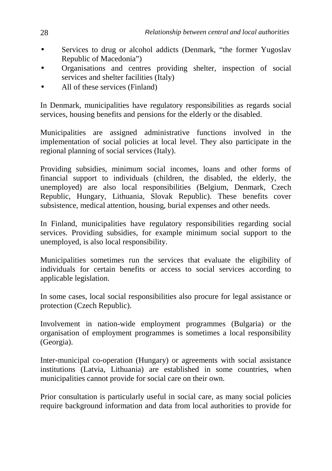- Services to drug or alcohol addicts (Denmark, "the former Yugoslav Republic of Macedonia")
- Organisations and centres providing shelter, inspection of social services and shelter facilities (Italy)
- All of these services (Finland)

In Denmark, municipalities have regulatory responsibilities as regards social services, housing benefits and pensions for the elderly or the disabled.

Municipalities are assigned administrative functions involved in the implementation of social policies at local level. They also participate in the regional planning of social services (Italy).

Providing subsidies, minimum social incomes, loans and other forms of financial support to individuals (children, the disabled, the elderly, the unemployed) are also local responsibilities (Belgium, Denmark, Czech Republic, Hungary, Lithuania, Slovak Republic). These benefits cover subsistence, medical attention, housing, burial expenses and other needs.

In Finland, municipalities have regulatory responsibilities regarding social services. Providing subsidies, for example minimum social support to the unemployed, is also local responsibility.

Municipalities sometimes run the services that evaluate the eligibility of individuals for certain benefits or access to social services according to applicable legislation.

In some cases, local social responsibilities also procure for legal assistance or protection (Czech Republic).

Involvement in nation-wide employment programmes (Bulgaria) or the organisation of employment programmes is sometimes a local responsibility (Georgia).

Inter-municipal co-operation (Hungary) or agreements with social assistance institutions (Latvia, Lithuania) are established in some countries, when municipalities cannot provide for social care on their own.

Prior consultation is particularly useful in social care, as many social policies require background information and data from local authorities to provide for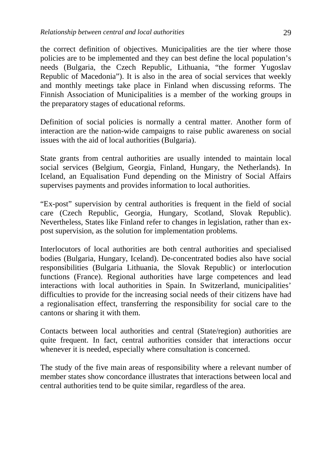the correct definition of objectives. Municipalities are the tier where those policies are to be implemented and they can best define the local population's needs (Bulgaria, the Czech Republic, Lithuania, "the former Yugoslav Republic of Macedonia"). It is also in the area of social services that weekly and monthly meetings take place in Finland when discussing reforms. The Finnish Association of Municipalities is a member of the working groups in the preparatory stages of educational reforms.

Definition of social policies is normally a central matter. Another form of interaction are the nation-wide campaigns to raise public awareness on social issues with the aid of local authorities (Bulgaria).

State grants from central authorities are usually intended to maintain local social services (Belgium, Georgia, Finland, Hungary, the Netherlands). In Iceland, an Equalisation Fund depending on the Ministry of Social Affairs supervises payments and provides information to local authorities.

"Ex-post" supervision by central authorities is frequent in the field of social care (Czech Republic, Georgia, Hungary, Scotland, Slovak Republic). Nevertheless, States like Finland refer to changes in legislation, rather than expost supervision, as the solution for implementation problems.

Interlocutors of local authorities are both central authorities and specialised bodies (Bulgaria, Hungary, Iceland). De-concentrated bodies also have social responsibilities (Bulgaria Lithuania, the Slovak Republic) or interlocution functions (France). Regional authorities have large competences and lead interactions with local authorities in Spain. In Switzerland, municipalities' difficulties to provide for the increasing social needs of their citizens have had a regionalisation effect, transferring the responsibility for social care to the cantons or sharing it with them.

Contacts between local authorities and central (State/region) authorities are quite frequent. In fact, central authorities consider that interactions occur whenever it is needed, especially where consultation is concerned.

The study of the five main areas of responsibility where a relevant number of member states show concordance illustrates that interactions between local and central authorities tend to be quite similar, regardless of the area.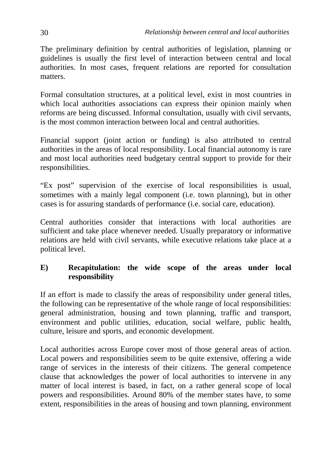The preliminary definition by central authorities of legislation, planning or guidelines is usually the first level of interaction between central and local authorities. In most cases, frequent relations are reported for consultation matters.

Formal consultation structures, at a political level, exist in most countries in which local authorities associations can express their opinion mainly when reforms are being discussed. Informal consultation, usually with civil servants, is the most common interaction between local and central authorities.

Financial support (joint action or funding) is also attributed to central authorities in the areas of local responsibility. Local financial autonomy is rare and most local authorities need budgetary central support to provide for their responsibilities.

"Ex post" supervision of the exercise of local responsibilities is usual, sometimes with a mainly legal component (i.e. town planning), but in other cases is for assuring standards of performance (i.e. social care, education).

Central authorities consider that interactions with local authorities are sufficient and take place whenever needed. Usually preparatory or informative relations are held with civil servants, while executive relations take place at a political level.

## **E) Recapitulation: the wide scope of the areas under local responsibility**

If an effort is made to classify the areas of responsibility under general titles, the following can be representative of the whole range of local responsibilities: general administration, housing and town planning, traffic and transport, environment and public utilities, education, social welfare, public health, culture, leisure and sports, and economic development.

Local authorities across Europe cover most of those general areas of action. Local powers and responsibilities seem to be quite extensive, offering a wide range of services in the interests of their citizens. The general competence clause that acknowledges the power of local authorities to intervene in any matter of local interest is based, in fact, on a rather general scope of local powers and responsibilities. Around 80% of the member states have, to some extent, responsibilities in the areas of housing and town planning, environment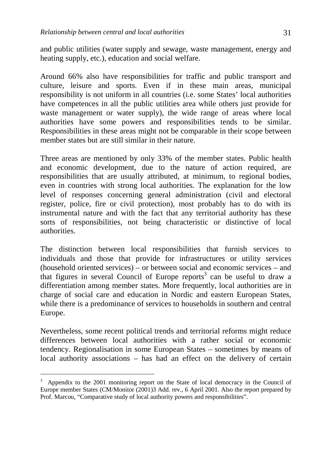and public utilities (water supply and sewage, waste management, energy and heating supply, etc.), education and social welfare.

Around 66% also have responsibilities for traffic and public transport and culture, leisure and sports. Even if in these main areas, municipal responsibility is not uniform in all countries (i.e. some States' local authorities have competences in all the public utilities area while others just provide for waste management or water supply), the wide range of areas where local authorities have some powers and responsibilities tends to be similar. Responsibilities in these areas might not be comparable in their scope between member states but are still similar in their nature.

Three areas are mentioned by only 33% of the member states. Public health and economic development, due to the nature of action required, are responsibilities that are usually attributed, at minimum, to regional bodies, even in countries with strong local authorities. The explanation for the low level of responses concerning general administration (civil and electoral register, police, fire or civil protection), most probably has to do with its instrumental nature and with the fact that any territorial authority has these sorts of responsibilities, not being characteristic or distinctive of local authorities.

The distinction between local responsibilities that furnish services to individuals and those that provide for infrastructures or utility services (household oriented services) – or between social and economic services – and that figures in several Council of Europe reports<sup>3</sup> can be useful to draw a differentiation among member states. More frequently, local authorities are in charge of social care and education in Nordic and eastern European States, while there is a predominance of services to households in southern and central Europe.

Nevertheless, some recent political trends and territorial reforms might reduce differences between local authorities with a rather social or economic tendency. Regionalisation in some European States – sometimes by means of local authority associations – has had an effect on the delivery of certain

<u>.</u>

<sup>3</sup> Appendix to the 2001 monitoring report on the State of local democracy in the Council of Europe member States (CM/Monitor (2001)3 Add. rev., 6 April 2001. Also the report prepared by Prof. Marcou, "Comparative study of local authority powers and responsibilities".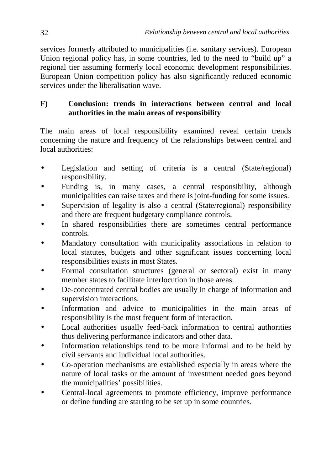services formerly attributed to municipalities (i.e. sanitary services). European Union regional policy has, in some countries, led to the need to "build up" a regional tier assuming formerly local economic development responsibilities. European Union competition policy has also significantly reduced economic services under the liberalisation wave.

## **F) Conclusion: trends in interactions between central and local authorities in the main areas of responsibility**

The main areas of local responsibility examined reveal certain trends concerning the nature and frequency of the relationships between central and local authorities:

- Legislation and setting of criteria is a central (State/regional) responsibility.
- Funding is, in many cases, a central responsibility, although municipalities can raise taxes and there is joint-funding for some issues.
- Supervision of legality is also a central (State/regional) responsibility and there are frequent budgetary compliance controls.
- In shared responsibilities there are sometimes central performance controls.
- Mandatory consultation with municipality associations in relation to local statutes, budgets and other significant issues concerning local responsibilities exists in most States.
- Formal consultation structures (general or sectoral) exist in many member states to facilitate interlocution in those areas.
- De-concentrated central bodies are usually in charge of information and supervision interactions.
- Information and advice to municipalities in the main areas of responsibility is the most frequent form of interaction.
- Local authorities usually feed-back information to central authorities thus delivering performance indicators and other data.
- Information relationships tend to be more informal and to be held by civil servants and individual local authorities.
- Co-operation mechanisms are established especially in areas where the nature of local tasks or the amount of investment needed goes beyond the municipalities' possibilities.
- Central-local agreements to promote efficiency, improve performance or define funding are starting to be set up in some countries.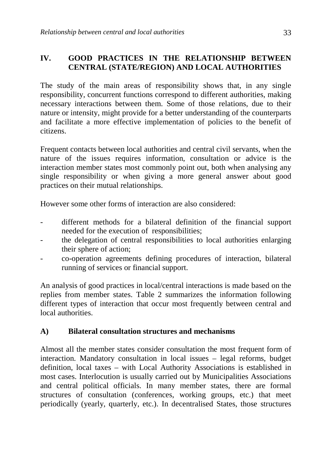## **IV. GOOD PRACTICES IN THE RELATIONSHIP BETWEEN CENTRAL (STATE/REGION) AND LOCAL AUTHORITIES**

The study of the main areas of responsibility shows that, in any single responsibility, concurrent functions correspond to different authorities, making necessary interactions between them. Some of those relations, due to their nature or intensity, might provide for a better understanding of the counterparts and facilitate a more effective implementation of policies to the benefit of citizens.

Frequent contacts between local authorities and central civil servants, when the nature of the issues requires information, consultation or advice is the interaction member states most commonly point out, both when analysing any single responsibility or when giving a more general answer about good practices on their mutual relationships.

However some other forms of interaction are also considered:

- different methods for a bilateral definition of the financial support needed for the execution of responsibilities;
- the delegation of central responsibilities to local authorities enlarging their sphere of action;
- co-operation agreements defining procedures of interaction, bilateral running of services or financial support.

An analysis of good practices in local/central interactions is made based on the replies from member states. Table 2 summarizes the information following different types of interaction that occur most frequently between central and local authorities.

## **A) Bilateral consultation structures and mechanisms**

Almost all the member states consider consultation the most frequent form of interaction. Mandatory consultation in local issues – legal reforms, budget definition, local taxes – with Local Authority Associations is established in most cases. Interlocution is usually carried out by Municipalities Associations and central political officials. In many member states, there are formal structures of consultation (conferences, working groups, etc.) that meet periodically (yearly, quarterly, etc.). In decentralised States, those structures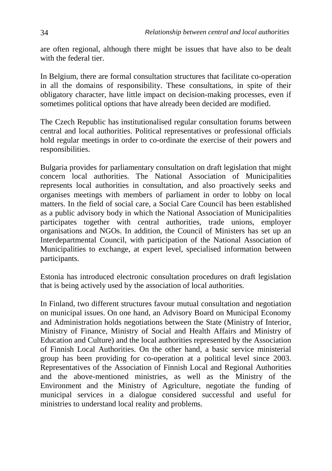are often regional, although there might be issues that have also to be dealt with the federal tier.

In Belgium, there are formal consultation structures that facilitate co-operation in all the domains of responsibility. These consultations, in spite of their obligatory character, have little impact on decision-making processes, even if sometimes political options that have already been decided are modified.

The Czech Republic has institutionalised regular consultation forums between central and local authorities. Political representatives or professional officials hold regular meetings in order to co-ordinate the exercise of their powers and responsibilities.

Bulgaria provides for parliamentary consultation on draft legislation that might concern local authorities. The National Association of Municipalities represents local authorities in consultation, and also proactively seeks and organises meetings with members of parliament in order to lobby on local matters. In the field of social care, a Social Care Council has been established as a public advisory body in which the National Association of Municipalities participates together with central authorities, trade unions, employer organisations and NGOs. In addition, the Council of Ministers has set up an Interdepartmental Council, with participation of the National Association of Municipalities to exchange, at expert level, specialised information between participants.

Estonia has introduced electronic consultation procedures on draft legislation that is being actively used by the association of local authorities.

In Finland, two different structures favour mutual consultation and negotiation on municipal issues. On one hand, an Advisory Board on Municipal Economy and Administration holds negotiations between the State (Ministry of Interior, Ministry of Finance, Ministry of Social and Health Affairs and Ministry of Education and Culture) and the local authorities represented by the Association of Finnish Local Authorities. On the other hand, a basic service ministerial group has been providing for co-operation at a political level since 2003. Representatives of the Association of Finnish Local and Regional Authorities and the above-mentioned ministries, as well as the Ministry of the Environment and the Ministry of Agriculture, negotiate the funding of municipal services in a dialogue considered successful and useful for ministries to understand local reality and problems.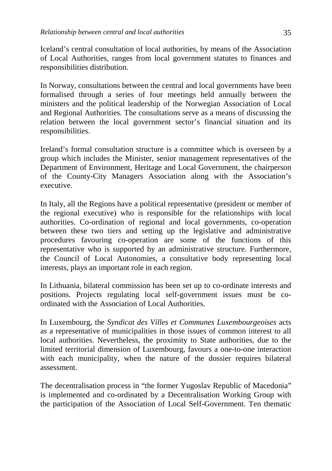Iceland's central consultation of local authorities, by means of the Association of Local Authorities, ranges from local government statutes to finances and responsibilities distribution.

In Norway, consultations between the central and local governments have been formalised through a series of four meetings held annually between the ministers and the political leadership of the Norwegian Association of Local and Regional Authorities. The consultations serve as a means of discussing the relation between the local government sector's financial situation and its responsibilities.

Ireland's formal consultation structure is a committee which is overseen by a group which includes the Minister, senior management representatives of the Department of Environment, Heritage and Local Government, the chairperson of the County-City Managers Association along with the Association's executive.

In Italy, all the Regions have a political representative (president or member of the regional executive) who is responsible for the relationships with local authorities. Co-ordination of regional and local governments, co-operation between these two tiers and setting up the legislative and administrative procedures favouring co-operation are some of the functions of this representative who is supported by an administrative structure. Furthermore, the Council of Local Autonomies, a consultative body representing local interests, plays an important role in each region.

In Lithuania, bilateral commission has been set up to co-ordinate interests and positions. Projects regulating local self-government issues must be coordinated with the Association of Local Authorities.

In Luxembourg, the *Syndicat des Villes et Communes Luxembourgeoises* acts as a representative of municipalities in those issues of common interest to all local authorities. Nevertheless, the proximity to State authorities, due to the limited territorial dimension of Luxembourg, favours a one-to-one interaction with each municipality, when the nature of the dossier requires bilateral assessment.

The decentralisation process in "the former Yugoslav Republic of Macedonia" is implemented and co-ordinated by a Decentralisation Working Group with the participation of the Association of Local Self-Government. Ten thematic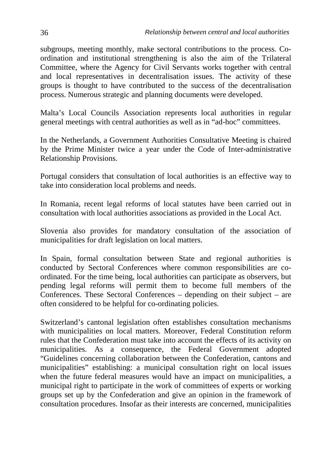subgroups, meeting monthly, make sectoral contributions to the process. Coordination and institutional strengthening is also the aim of the Trilateral Committee, where the Agency for Civil Servants works together with central and local representatives in decentralisation issues. The activity of these groups is thought to have contributed to the success of the decentralisation process. Numerous strategic and planning documents were developed.

Malta's Local Councils Association represents local authorities in regular general meetings with central authorities as well as in "ad-hoc" committees.

In the Netherlands, a Government Authorities Consultative Meeting is chaired by the Prime Minister twice a year under the Code of Inter-administrative Relationship Provisions.

Portugal considers that consultation of local authorities is an effective way to take into consideration local problems and needs.

In Romania, recent legal reforms of local statutes have been carried out in consultation with local authorities associations as provided in the Local Act.

Slovenia also provides for mandatory consultation of the association of municipalities for draft legislation on local matters.

In Spain, formal consultation between State and regional authorities is conducted by Sectoral Conferences where common responsibilities are coordinated. For the time being, local authorities can participate as observers, but pending legal reforms will permit them to become full members of the Conferences. These Sectoral Conferences – depending on their subject – are often considered to be helpful for co-ordinating policies.

Switzerland's cantonal legislation often establishes consultation mechanisms with municipalities on local matters. Moreover, Federal Constitution reform rules that the Confederation must take into account the effects of its activity on municipalities. As a consequence, the Federal Government adopted "Guidelines concerning collaboration between the Confederation, cantons and municipalities" establishing: a municipal consultation right on local issues when the future federal measures would have an impact on municipalities, a municipal right to participate in the work of committees of experts or working groups set up by the Confederation and give an opinion in the framework of consultation procedures. Insofar as their interests are concerned, municipalities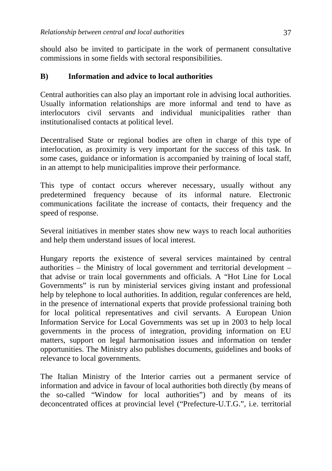should also be invited to participate in the work of permanent consultative commissions in some fields with sectoral responsibilities.

#### **B) Information and advice to local authorities**

Central authorities can also play an important role in advising local authorities. Usually information relationships are more informal and tend to have as interlocutors civil servants and individual municipalities rather than institutionalised contacts at political level.

Decentralised State or regional bodies are often in charge of this type of interlocution, as proximity is very important for the success of this task. In some cases, guidance or information is accompanied by training of local staff, in an attempt to help municipalities improve their performance.

This type of contact occurs wherever necessary, usually without any predetermined frequency because of its informal nature. Electronic communications facilitate the increase of contacts, their frequency and the speed of response.

Several initiatives in member states show new ways to reach local authorities and help them understand issues of local interest.

Hungary reports the existence of several services maintained by central authorities – the Ministry of local government and territorial development – that advise or train local governments and officials. A "Hot Line for Local Governments" is run by ministerial services giving instant and professional help by telephone to local authorities. In addition, regular conferences are held, in the presence of international experts that provide professional training both for local political representatives and civil servants. A European Union Information Service for Local Governments was set up in 2003 to help local governments in the process of integration, providing information on EU matters, support on legal harmonisation issues and information on tender opportunities. The Ministry also publishes documents, guidelines and books of relevance to local governments.

The Italian Ministry of the Interior carries out a permanent service of information and advice in favour of local authorities both directly (by means of the so-called "Window for local authorities") and by means of its deconcentrated offices at provincial level ("Prefecture-U.T.G.", i.e. territorial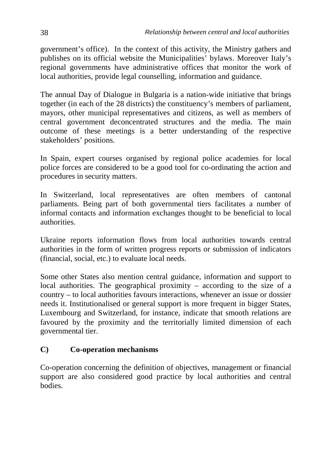government's office). In the context of this activity, the Ministry gathers and publishes on its official website the Municipalities' bylaws. Moreover Italy's regional governments have administrative offices that monitor the work of local authorities, provide legal counselling, information and guidance.

The annual Day of Dialogue in Bulgaria is a nation-wide initiative that brings together (in each of the 28 districts) the constituency's members of parliament, mayors, other municipal representatives and citizens, as well as members of central government deconcentrated structures and the media. The main outcome of these meetings is a better understanding of the respective stakeholders' positions.

In Spain, expert courses organised by regional police academies for local police forces are considered to be a good tool for co-ordinating the action and procedures in security matters.

In Switzerland, local representatives are often members of cantonal parliaments. Being part of both governmental tiers facilitates a number of informal contacts and information exchanges thought to be beneficial to local authorities.

Ukraine reports information flows from local authorities towards central authorities in the form of written progress reports or submission of indicators (financial, social, etc.) to evaluate local needs.

Some other States also mention central guidance, information and support to local authorities. The geographical proximity – according to the size of a country – to local authorities favours interactions, whenever an issue or dossier needs it. Institutionalised or general support is more frequent in bigger States, Luxembourg and Switzerland, for instance, indicate that smooth relations are favoured by the proximity and the territorially limited dimension of each governmental tier.

## **C) Co-operation mechanisms**

Co-operation concerning the definition of objectives, management or financial support are also considered good practice by local authorities and central bodies.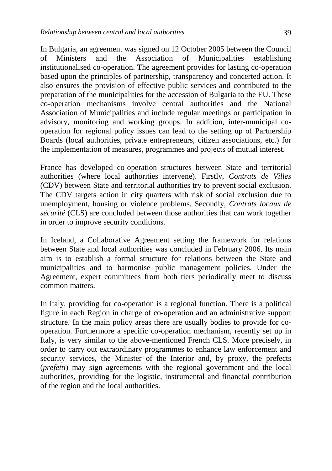In Bulgaria, an agreement was signed on 12 October 2005 between the Council of Ministers and the Association of Municipalities establishing institutionalised co-operation. The agreement provides for lasting co-operation based upon the principles of partnership, transparency and concerted action. It also ensures the provision of effective public services and contributed to the preparation of the municipalities for the accession of Bulgaria to the EU. These co-operation mechanisms involve central authorities and the National Association of Municipalities and include regular meetings or participation in advisory, monitoring and working groups. In addition, inter-municipal cooperation for regional policy issues can lead to the setting up of Partnership Boards (local authorities, private entrepreneurs, citizen associations, etc.) for the implementation of measures, programmes and projects of mutual interest.

France has developed co-operation structures between State and territorial authorities (where local authorities intervene). Firstly, *Contrats de Villes* (CDV) between State and territorial authorities try to prevent social exclusion. The CDV targets action in city quarters with risk of social exclusion due to unemployment, housing or violence problems. Secondly, *Contrats locaux de sécurité* (CLS) are concluded between those authorities that can work together in order to improve security conditions.

In Iceland, a Collaborative Agreement setting the framework for relations between State and local authorities was concluded in February 2006. Its main aim is to establish a formal structure for relations between the State and municipalities and to harmonise public management policies. Under the Agreement, expert committees from both tiers periodically meet to discuss common matters.

In Italy, providing for co-operation is a regional function. There is a political figure in each Region in charge of co-operation and an administrative support structure. In the main policy areas there are usually bodies to provide for cooperation. Furthermore a specific co-operation mechanism, recently set up in Italy, is very similar to the above-mentioned French CLS. More precisely, in order to carry out extraordinary programmes to enhance law enforcement and security services, the Minister of the Interior and, by proxy, the prefects (*prefetti*) may sign agreements with the regional government and the local authorities, providing for the logistic, instrumental and financial contribution of the region and the local authorities.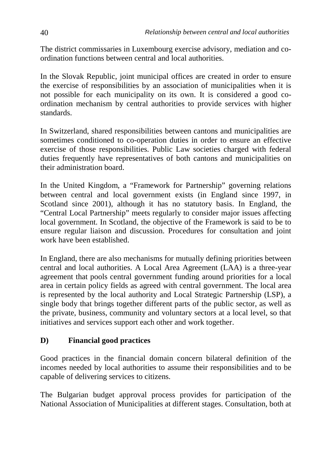The district commissaries in Luxembourg exercise advisory, mediation and coordination functions between central and local authorities.

In the Slovak Republic, joint municipal offices are created in order to ensure the exercise of responsibilities by an association of municipalities when it is not possible for each municipality on its own. It is considered a good coordination mechanism by central authorities to provide services with higher standards.

In Switzerland, shared responsibilities between cantons and municipalities are sometimes conditioned to co-operation duties in order to ensure an effective exercise of those responsibilities. Public Law societies charged with federal duties frequently have representatives of both cantons and municipalities on their administration board.

In the United Kingdom, a "Framework for Partnership" governing relations between central and local government exists (in England since 1997, in Scotland since 2001), although it has no statutory basis. In England, the "Central Local Partnership" meets regularly to consider major issues affecting local government. In Scotland, the objective of the Framework is said to be to ensure regular liaison and discussion. Procedures for consultation and joint work have been established.

In England, there are also mechanisms for mutually defining priorities between central and local authorities. A Local Area Agreement (LAA) is a three-year agreement that pools central government funding around priorities for a local area in certain policy fields as agreed with central government. The local area is represented by the local authority and Local Strategic Partnership (LSP), a single body that brings together different parts of the public sector, as well as the private, business, community and voluntary sectors at a local level, so that initiatives and services support each other and work together.

#### **D) Financial good practices**

Good practices in the financial domain concern bilateral definition of the incomes needed by local authorities to assume their responsibilities and to be capable of delivering services to citizens.

The Bulgarian budget approval process provides for participation of the National Association of Municipalities at different stages. Consultation, both at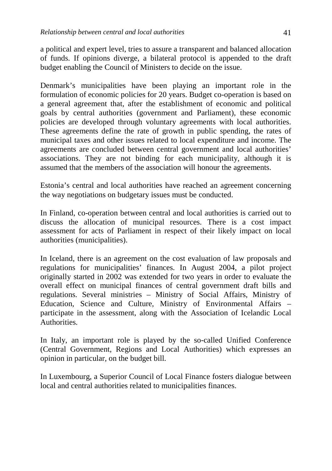a political and expert level, tries to assure a transparent and balanced allocation of funds. If opinions diverge, a bilateral protocol is appended to the draft budget enabling the Council of Ministers to decide on the issue.

Denmark's municipalities have been playing an important role in the formulation of economic policies for 20 years. Budget co-operation is based on a general agreement that, after the establishment of economic and political goals by central authorities (government and Parliament), these economic policies are developed through voluntary agreements with local authorities. These agreements define the rate of growth in public spending, the rates of municipal taxes and other issues related to local expenditure and income. The agreements are concluded between central government and local authorities' associations. They are not binding for each municipality, although it is assumed that the members of the association will honour the agreements.

Estonia's central and local authorities have reached an agreement concerning the way negotiations on budgetary issues must be conducted.

In Finland, co-operation between central and local authorities is carried out to discuss the allocation of municipal resources. There is a cost impact assessment for acts of Parliament in respect of their likely impact on local authorities (municipalities).

In Iceland, there is an agreement on the cost evaluation of law proposals and regulations for municipalities' finances. In August 2004, a pilot project originally started in 2002 was extended for two years in order to evaluate the overall effect on municipal finances of central government draft bills and regulations. Several ministries – Ministry of Social Affairs, Ministry of Education, Science and Culture, Ministry of Environmental Affairs – participate in the assessment, along with the Association of Icelandic Local **Authorities** 

In Italy, an important role is played by the so-called Unified Conference (Central Government, Regions and Local Authorities) which expresses an opinion in particular, on the budget bill.

In Luxembourg, a Superior Council of Local Finance fosters dialogue between local and central authorities related to municipalities finances.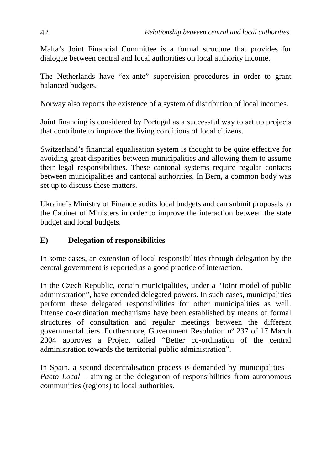Malta's Joint Financial Committee is a formal structure that provides for dialogue between central and local authorities on local authority income.

The Netherlands have "ex-ante" supervision procedures in order to grant balanced budgets.

Norway also reports the existence of a system of distribution of local incomes.

Joint financing is considered by Portugal as a successful way to set up projects that contribute to improve the living conditions of local citizens.

Switzerland's financial equalisation system is thought to be quite effective for avoiding great disparities between municipalities and allowing them to assume their legal responsibilities. These cantonal systems require regular contacts between municipalities and cantonal authorities. In Bern, a common body was set up to discuss these matters.

Ukraine's Ministry of Finance audits local budgets and can submit proposals to the Cabinet of Ministers in order to improve the interaction between the state budget and local budgets.

## **E) Delegation of responsibilities**

In some cases, an extension of local responsibilities through delegation by the central government is reported as a good practice of interaction.

In the Czech Republic, certain municipalities, under a "Joint model of public administration", have extended delegated powers. In such cases, municipalities perform these delegated responsibilities for other municipalities as well. Intense co-ordination mechanisms have been established by means of formal structures of consultation and regular meetings between the different governmental tiers. Furthermore, Government Resolution nº 237 of 17 March 2004 approves a Project called "Better co-ordination of the central administration towards the territorial public administration".

In Spain, a second decentralisation process is demanded by municipalities – *Pacto Local* – aiming at the delegation of responsibilities from autonomous communities (regions) to local authorities.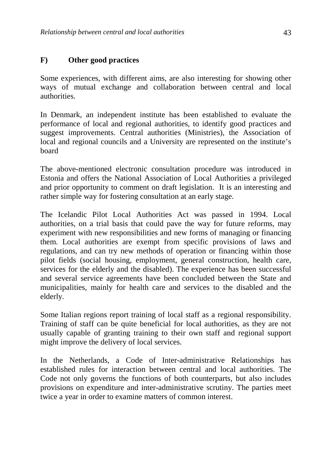## **F) Other good practices**

Some experiences, with different aims, are also interesting for showing other ways of mutual exchange and collaboration between central and local authorities.

In Denmark, an independent institute has been established to evaluate the performance of local and regional authorities, to identify good practices and suggest improvements. Central authorities (Ministries), the Association of local and regional councils and a University are represented on the institute's board

The above-mentioned electronic consultation procedure was introduced in Estonia and offers the National Association of Local Authorities a privileged and prior opportunity to comment on draft legislation. It is an interesting and rather simple way for fostering consultation at an early stage.

The Icelandic Pilot Local Authorities Act was passed in 1994. Local authorities, on a trial basis that could pave the way for future reforms, may experiment with new responsibilities and new forms of managing or financing them. Local authorities are exempt from specific provisions of laws and regulations, and can try new methods of operation or financing within those pilot fields (social housing, employment, general construction, health care, services for the elderly and the disabled). The experience has been successful and several service agreements have been concluded between the State and municipalities, mainly for health care and services to the disabled and the elderly.

Some Italian regions report training of local staff as a regional responsibility. Training of staff can be quite beneficial for local authorities, as they are not usually capable of granting training to their own staff and regional support might improve the delivery of local services.

In the Netherlands, a Code of Inter-administrative Relationships has established rules for interaction between central and local authorities. The Code not only governs the functions of both counterparts, but also includes provisions on expenditure and inter-administrative scrutiny. The parties meet twice a year in order to examine matters of common interest.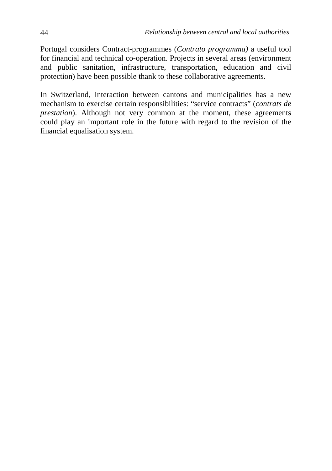Portugal considers Contract-programmes (*Contrato programma)* a useful tool for financial and technical co-operation. Projects in several areas (environment and public sanitation, infrastructure, transportation, education and civil protection) have been possible thank to these collaborative agreements.

In Switzerland, interaction between cantons and municipalities has a new mechanism to exercise certain responsibilities: "service contracts" (*contrats de prestation*). Although not very common at the moment, these agreements could play an important role in the future with regard to the revision of the financial equalisation system.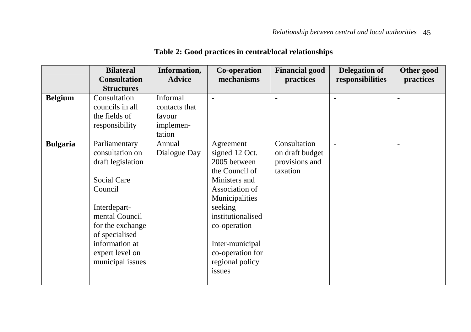|                 | <b>Bilateral</b>    | Information,  | Co-operation      | <b>Financial good</b> | <b>Delegation of</b> | Other good |
|-----------------|---------------------|---------------|-------------------|-----------------------|----------------------|------------|
|                 | <b>Consultation</b> | <b>Advice</b> | mechanisms        | practices             | responsibilities     | practices  |
|                 | <b>Structures</b>   |               |                   |                       |                      |            |
| <b>Belgium</b>  | Consultation        | Informal      |                   | ÷                     | ÷.                   |            |
|                 | councils in all     | contacts that |                   |                       |                      |            |
|                 | the fields of       | favour        |                   |                       |                      |            |
|                 | responsibility      | implemen-     |                   |                       |                      |            |
|                 |                     | tation        |                   |                       |                      |            |
| <b>Bulgaria</b> | Parliamentary       | Annual        | Agreement         | Consultation          |                      |            |
|                 | consultation on     | Dialogue Day  | signed 12 Oct.    | on draft budget       |                      |            |
|                 | draft legislation   |               | 2005 between      | provisions and        |                      |            |
|                 |                     |               | the Council of    | taxation              |                      |            |
|                 | Social Care         |               | Ministers and     |                       |                      |            |
|                 | Council             |               | Association of    |                       |                      |            |
|                 |                     |               | Municipalities    |                       |                      |            |
|                 | Interdepart-        |               | seeking           |                       |                      |            |
|                 | mental Council      |               | institutionalised |                       |                      |            |
|                 | for the exchange    |               | co-operation      |                       |                      |            |
|                 | of specialised      |               |                   |                       |                      |            |
|                 | information at      |               | Inter-municipal   |                       |                      |            |
|                 | expert level on     |               | co-operation for  |                       |                      |            |
|                 | municipal issues    |               | regional policy   |                       |                      |            |
|                 |                     |               | issues            |                       |                      |            |
|                 |                     |               |                   |                       |                      |            |

## **Table 2: Good practices in central/local relationships**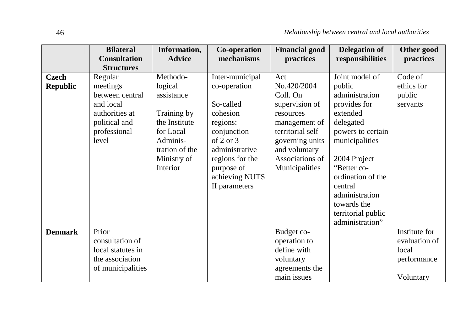|                          | <b>Bilateral</b><br><b>Consultation</b><br><b>Structures</b>                                                    | Information,<br><b>Advice</b>                                                                                                           | Co-operation<br>mechanisms                                                                                                                                                               | <b>Financial good</b><br>practices                                                                                                                                           | <b>Delegation of</b><br>responsibilities                                                                                                                                                                                                                            | Other good<br>practices                                             |
|--------------------------|-----------------------------------------------------------------------------------------------------------------|-----------------------------------------------------------------------------------------------------------------------------------------|------------------------------------------------------------------------------------------------------------------------------------------------------------------------------------------|------------------------------------------------------------------------------------------------------------------------------------------------------------------------------|---------------------------------------------------------------------------------------------------------------------------------------------------------------------------------------------------------------------------------------------------------------------|---------------------------------------------------------------------|
| Czech<br><b>Republic</b> | Regular<br>meetings<br>between central<br>and local<br>authorities at<br>political and<br>professional<br>level | Methodo-<br>logical<br>assistance<br>Training by<br>the Institute<br>for Local<br>Adminis-<br>tration of the<br>Ministry of<br>Interior | Inter-municipal<br>co-operation<br>So-called<br>cohesion<br>regions:<br>conjunction<br>of 2 or $3$<br>administrative<br>regions for the<br>purpose of<br>achieving NUTS<br>II parameters | Act<br>No.420/2004<br>Coll. On<br>supervision of<br>resources<br>management of<br>territorial self-<br>governing units<br>and voluntary<br>Associations of<br>Municipalities | Joint model of<br>public<br>administration<br>provides for<br>extended<br>delegated<br>powers to certain<br>municipalities<br>2004 Project<br>"Better co-<br>ordination of the<br>central<br>administration<br>towards the<br>territorial public<br>administration" | Code of<br>ethics for<br>public<br>servants                         |
| <b>Denmark</b>           | Prior<br>consultation of<br>local statutes in<br>the association<br>of municipalities                           |                                                                                                                                         |                                                                                                                                                                                          | Budget co-<br>operation to<br>define with<br>voluntary<br>agreements the<br>main issues                                                                                      |                                                                                                                                                                                                                                                                     | Institute for<br>evaluation of<br>local<br>performance<br>Voluntary |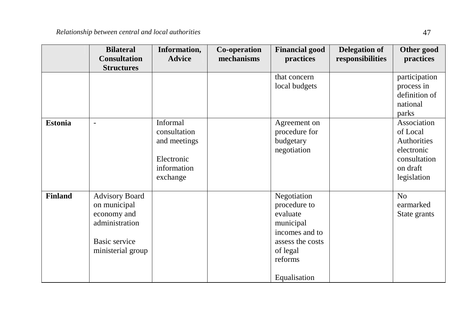|                | <b>Bilateral</b><br><b>Consultation</b><br><b>Structures</b>                                                 | Information,<br><b>Advice</b>                                                     | Co-operation<br>mechanisms | <b>Financial good</b><br>practices                                                                                                | <b>Delegation of</b><br>responsibilities | Other good<br>practices                                                                         |
|----------------|--------------------------------------------------------------------------------------------------------------|-----------------------------------------------------------------------------------|----------------------------|-----------------------------------------------------------------------------------------------------------------------------------|------------------------------------------|-------------------------------------------------------------------------------------------------|
|                |                                                                                                              |                                                                                   |                            | that concern<br>local budgets                                                                                                     |                                          | participation<br>process in<br>definition of<br>national<br>parks                               |
| <b>Estonia</b> | $\blacksquare$                                                                                               | Informal<br>consultation<br>and meetings<br>Electronic<br>information<br>exchange |                            | Agreement on<br>procedure for<br>budgetary<br>negotiation                                                                         |                                          | Association<br>of Local<br>Authorities<br>electronic<br>consultation<br>on draft<br>legislation |
| <b>Finland</b> | <b>Advisory Board</b><br>on municipal<br>economy and<br>administration<br>Basic service<br>ministerial group |                                                                                   |                            | Negotiation<br>procedure to<br>evaluate<br>municipal<br>incomes and to<br>assess the costs<br>of legal<br>reforms<br>Equalisation |                                          | N <sub>o</sub><br>earmarked<br>State grants                                                     |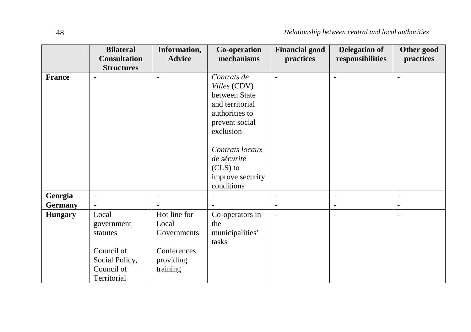|                | <b>Bilateral</b><br><b>Consultation</b>                                                      | Information,<br><b>Advice</b>                                                | Co-operation<br>mechanisms                                                                                       | <b>Financial good</b><br>practices | <b>Delegation of</b><br>responsibilities | Other good<br>practices  |
|----------------|----------------------------------------------------------------------------------------------|------------------------------------------------------------------------------|------------------------------------------------------------------------------------------------------------------|------------------------------------|------------------------------------------|--------------------------|
| <b>France</b>  | <b>Structures</b><br>$\overline{\phantom{a}}$                                                | ÷,                                                                           | Contrats de<br>Villes (CDV)<br>between State<br>and territorial<br>authorities to<br>prevent social<br>exclusion | $\overline{\phantom{a}}$           | $\overline{\phantom{0}}$                 | ٠                        |
|                |                                                                                              |                                                                              | Contrats locaux<br>de sécurité<br>$(CLS)$ to<br>improve security<br>conditions                                   |                                    |                                          |                          |
| Georgia        | $\overline{\phantom{a}}$                                                                     | $\overline{a}$                                                               | $\overline{a}$                                                                                                   | $\overline{\phantom{a}}$           | $\blacksquare$                           | $\blacksquare$           |
| Germany        |                                                                                              |                                                                              |                                                                                                                  | $\overline{\phantom{a}}$           | $\overline{\phantom{a}}$                 | $\overline{\phantom{a}}$ |
| <b>Hungary</b> | Local<br>government<br>statutes<br>Council of<br>Social Policy,<br>Council of<br>Territorial | Hot line for<br>Local<br>Governments<br>Conferences<br>providing<br>training | Co-operators in<br>the<br>municipalities'<br>tasks                                                               | $\overline{\phantom{a}}$           | $\blacksquare$                           |                          |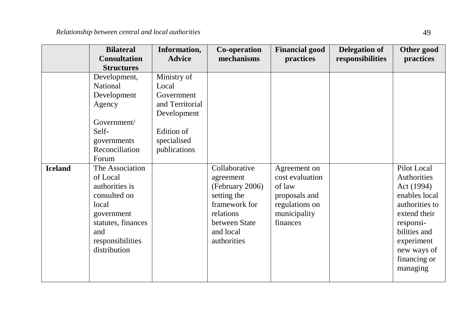| <b>Bilateral</b><br><b>Consultation</b><br><b>Structures</b>                                                                                                                                                                                                                                   | Information,<br><b>Advice</b>                                                                                     | Co-operation<br>mechanisms                                                                                                              | <b>Financial good</b><br>practices                                                                       | <b>Delegation of</b><br>responsibilities | Other good<br>practices                                                                                                                                                           |
|------------------------------------------------------------------------------------------------------------------------------------------------------------------------------------------------------------------------------------------------------------------------------------------------|-------------------------------------------------------------------------------------------------------------------|-----------------------------------------------------------------------------------------------------------------------------------------|----------------------------------------------------------------------------------------------------------|------------------------------------------|-----------------------------------------------------------------------------------------------------------------------------------------------------------------------------------|
| Development,<br>National<br>Development<br>Agency<br>Government/<br>Self-<br>governments<br>Reconciliation<br>Forum<br>The Association<br><b>Iceland</b><br>of Local<br>authorities is<br>consulted on<br>local<br>government<br>statutes, finances<br>and<br>responsibilities<br>distribution | Ministry of<br>Local<br>Government<br>and Territorial<br>Development<br>Edition of<br>specialised<br>publications | Collaborative<br>agreement<br>(February 2006)<br>setting the<br>framework for<br>relations<br>between State<br>and local<br>authorities | Agreement on<br>cost evaluation<br>of law<br>proposals and<br>regulations on<br>municipality<br>finances |                                          | Pilot Local<br>Authorities<br>Act (1994)<br>enables local<br>authorities to<br>extend their<br>responsi-<br>bilities and<br>experiment<br>new ways of<br>financing or<br>managing |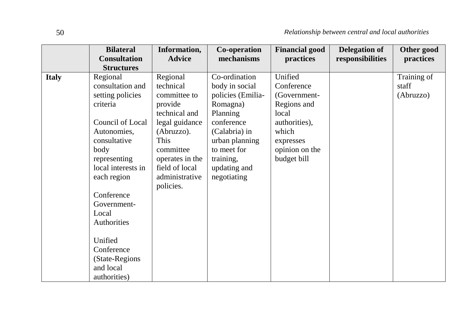|              | <b>Bilateral</b><br><b>Consultation</b> | Information,<br><b>Advice</b> | Co-operation<br>mechanisms | <b>Financial good</b><br>practices | <b>Delegation of</b><br>responsibilities | Other good<br>practices |
|--------------|-----------------------------------------|-------------------------------|----------------------------|------------------------------------|------------------------------------------|-------------------------|
|              | <b>Structures</b>                       |                               |                            |                                    |                                          |                         |
| <b>Italy</b> | Regional                                | Regional                      | Co-ordination              | Unified                            |                                          | Training of             |
|              | consultation and                        | technical                     | body in social             | Conference                         |                                          | staff                   |
|              | setting policies                        | committee to                  | policies (Emilia-          | (Government-                       |                                          | (Abruzzo)               |
|              | criteria                                | provide                       | Romagna)                   | Regions and                        |                                          |                         |
|              |                                         | technical and                 | Planning                   | local                              |                                          |                         |
|              | Council of Local                        | legal guidance                | conference                 | authorities),                      |                                          |                         |
|              | Autonomies,                             | (Abruzzo).                    | (Calabria) in              | which                              |                                          |                         |
|              | consultative                            | This                          | urban planning             | expresses                          |                                          |                         |
|              | body                                    | committee                     | to meet for                | opinion on the                     |                                          |                         |
|              | representing                            | operates in the               | training,                  | budget bill                        |                                          |                         |
|              | local interests in                      | field of local                | updating and               |                                    |                                          |                         |
|              | each region                             | administrative<br>policies.   | negotiating                |                                    |                                          |                         |
|              | Conference                              |                               |                            |                                    |                                          |                         |
|              | Government-                             |                               |                            |                                    |                                          |                         |
|              | Local                                   |                               |                            |                                    |                                          |                         |
|              | Authorities                             |                               |                            |                                    |                                          |                         |
|              |                                         |                               |                            |                                    |                                          |                         |
|              | Unified                                 |                               |                            |                                    |                                          |                         |
|              | Conference                              |                               |                            |                                    |                                          |                         |
|              | (State-Regions)                         |                               |                            |                                    |                                          |                         |
|              | and local                               |                               |                            |                                    |                                          |                         |
|              | authorities)                            |                               |                            |                                    |                                          |                         |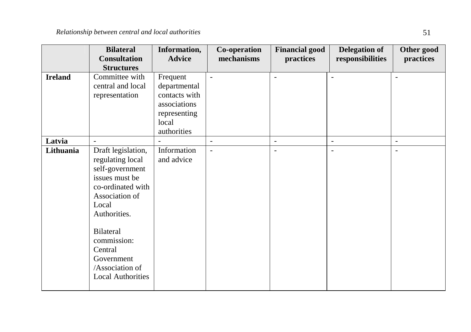|                | <b>Bilateral</b><br><b>Consultation</b><br><b>Structures</b>                                                                                                                                                                                           | Information,<br><b>Advice</b>                                                                     | Co-operation<br>mechanisms | <b>Financial good</b><br>practices | <b>Delegation of</b><br>responsibilities | Other good<br>practices  |
|----------------|--------------------------------------------------------------------------------------------------------------------------------------------------------------------------------------------------------------------------------------------------------|---------------------------------------------------------------------------------------------------|----------------------------|------------------------------------|------------------------------------------|--------------------------|
| <b>Ireland</b> | Committee with<br>central and local<br>representation                                                                                                                                                                                                  | Frequent<br>departmental<br>contacts with<br>associations<br>representing<br>local<br>authorities | $\blacksquare$             | L.                                 |                                          | ٠                        |
| Latvia         | $\blacksquare$                                                                                                                                                                                                                                         |                                                                                                   | $\blacksquare$             | $\blacksquare$                     | $\overline{\phantom{a}}$                 | $\overline{\phantom{a}}$ |
| Lithuania      | Draft legislation,<br>regulating local<br>self-government<br>issues must be<br>co-ordinated with<br>Association of<br>Local<br>Authorities.<br><b>Bilateral</b><br>commission:<br>Central<br>Government<br>/Association of<br><b>Local Authorities</b> | Information<br>and advice                                                                         | $\blacksquare$             | $\overline{a}$                     | $\overline{\phantom{a}}$                 | $\overline{a}$           |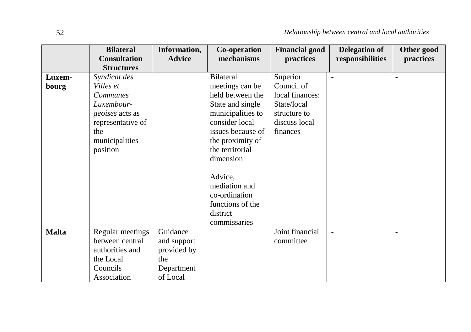|              | <b>Bilateral</b><br><b>Consultation</b>                                                        | Information,<br><b>Advice</b>                                           | Co-operation<br>mechanisms                                                                | <b>Financial good</b><br>practices | <b>Delegation of</b><br>responsibilities | Other good<br>practices  |
|--------------|------------------------------------------------------------------------------------------------|-------------------------------------------------------------------------|-------------------------------------------------------------------------------------------|------------------------------------|------------------------------------------|--------------------------|
|              | <b>Structures</b>                                                                              |                                                                         |                                                                                           |                                    |                                          |                          |
| Luxem-       | Syndicat des                                                                                   |                                                                         | <b>Bilateral</b>                                                                          | Superior                           |                                          | $\overline{\phantom{a}}$ |
| bourg        | Villes et                                                                                      |                                                                         | meetings can be                                                                           | Council of                         |                                          |                          |
|              | <b>Communes</b>                                                                                |                                                                         | held between the                                                                          | local finances:                    |                                          |                          |
|              | Luxembour-                                                                                     |                                                                         | State and single                                                                          | State/local                        |                                          |                          |
|              | <i>geoises</i> acts as                                                                         |                                                                         | municipalities to                                                                         | structure to                       |                                          |                          |
|              | representative of                                                                              |                                                                         | consider local                                                                            | discuss local                      |                                          |                          |
|              | the                                                                                            |                                                                         | issues because of                                                                         | finances                           |                                          |                          |
|              | municipalities                                                                                 |                                                                         | the proximity of                                                                          |                                    |                                          |                          |
|              | position                                                                                       |                                                                         | the territorial                                                                           |                                    |                                          |                          |
|              |                                                                                                |                                                                         | dimension                                                                                 |                                    |                                          |                          |
|              |                                                                                                |                                                                         | Advice,<br>mediation and<br>co-ordination<br>functions of the<br>district<br>commissaries |                                    |                                          |                          |
| <b>Malta</b> | Regular meetings<br>between central<br>authorities and<br>the Local<br>Councils<br>Association | Guidance<br>and support<br>provided by<br>the<br>Department<br>of Local |                                                                                           | Joint financial<br>committee       | $\overline{\phantom{m}}$                 | $\overline{\phantom{a}}$ |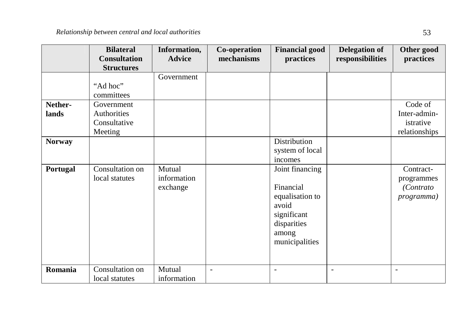|                  | <b>Bilateral</b><br><b>Consultation</b><br><b>Structures</b> | Information,<br><b>Advice</b>     | Co-operation<br>mechanisms | <b>Financial good</b><br>practices                                                                                | <b>Delegation of</b><br>responsibilities | Other good<br>practices                                    |
|------------------|--------------------------------------------------------------|-----------------------------------|----------------------------|-------------------------------------------------------------------------------------------------------------------|------------------------------------------|------------------------------------------------------------|
|                  | "Ad hoc"<br>committees                                       | Government                        |                            |                                                                                                                   |                                          |                                                            |
| Nether-<br>lands | Government<br>Authorities<br>Consultative<br>Meeting         |                                   |                            |                                                                                                                   |                                          | Code of<br>Inter-admin-<br>istrative<br>relationships      |
| <b>Norway</b>    |                                                              |                                   |                            | Distribution<br>system of local<br>incomes                                                                        |                                          |                                                            |
| Portugal         | Consultation on<br>local statutes                            | Mutual<br>information<br>exchange |                            | Joint financing<br>Financial<br>equalisation to<br>avoid<br>significant<br>disparities<br>among<br>municipalities |                                          | Contract-<br>programmes<br><i>(Contrato)</i><br>programma) |
| Romania          | Consultation on<br>local statutes                            | Mutual<br>information             | $\overline{a}$             |                                                                                                                   | $\overline{\phantom{a}}$                 | $\blacksquare$                                             |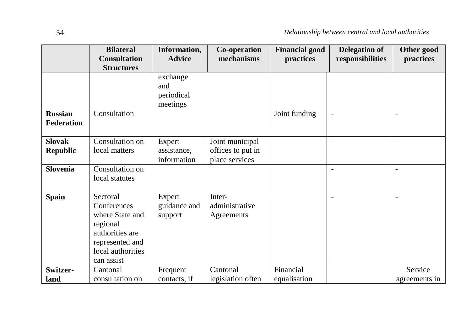|                                              | <b>Bilateral</b><br><b>Consultation</b><br><b>Structures</b>                                                                    | Information,<br><b>Advice</b>             | Co-operation<br>mechanisms                             | <b>Financial good</b><br>practices | <b>Delegation of</b><br>responsibilities | Other good<br>practices  |
|----------------------------------------------|---------------------------------------------------------------------------------------------------------------------------------|-------------------------------------------|--------------------------------------------------------|------------------------------------|------------------------------------------|--------------------------|
|                                              |                                                                                                                                 | exchange<br>and<br>periodical<br>meetings |                                                        |                                    |                                          |                          |
| <b>Russian</b><br>Federation                 | Consultation                                                                                                                    |                                           |                                                        | Joint funding                      | $\blacksquare$                           | ٠                        |
| <b>Slovak</b><br><b>Republic</b><br>Slovenia | Consultation on<br>local matters<br>Consultation on                                                                             | Expert<br>assistance,<br>information      | Joint municipal<br>offices to put in<br>place services |                                    | $\sim$                                   | $\overline{a}$           |
|                                              | local statutes                                                                                                                  |                                           |                                                        |                                    | $\blacksquare$                           | $\overline{a}$           |
| <b>Spain</b>                                 | Sectoral<br>Conferences<br>where State and<br>regional<br>authorities are<br>represented and<br>local authorities<br>can assist | Expert<br>guidance and<br>support         | Inter-<br>administrative<br>Agreements                 |                                    | $\overline{\phantom{a}}$                 | $\blacksquare$           |
| Switzer-<br>land                             | Cantonal<br>consultation on                                                                                                     | Frequent<br>contacts, if                  | Cantonal<br>legislation often                          | Financial<br>equalisation          |                                          | Service<br>agreements in |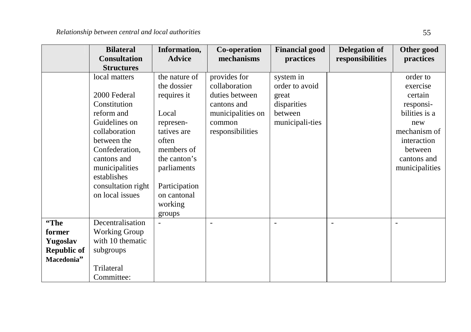|                    | <b>Bilateral</b><br><b>Consultation</b> | Information,<br><b>Advice</b> | Co-operation<br>mechanisms | <b>Financial good</b><br>practices | <b>Delegation of</b><br>responsibilities | Other good<br>practices |
|--------------------|-----------------------------------------|-------------------------------|----------------------------|------------------------------------|------------------------------------------|-------------------------|
|                    | <b>Structures</b><br>local matters      | the nature of                 | provides for               | system in                          |                                          | order to                |
|                    |                                         | the dossier                   | collaboration              | order to avoid                     |                                          | exercise                |
|                    | 2000 Federal                            | requires it                   | duties between             | great                              |                                          | certain                 |
|                    | Constitution                            |                               | cantons and                | disparities                        |                                          | responsi-               |
|                    | reform and                              | Local                         | municipalities on          | between                            |                                          | bilities is a           |
|                    | Guidelines on                           | represen-                     | common                     | municipali-ties                    |                                          | new                     |
|                    | collaboration                           | tatives are                   | responsibilities           |                                    |                                          | mechanism of            |
|                    | between the                             | often                         |                            |                                    |                                          | interaction             |
|                    | Confederation,                          | members of                    |                            |                                    |                                          | between                 |
|                    | cantons and                             | the canton's                  |                            |                                    |                                          | cantons and             |
|                    | municipalities                          | parliaments                   |                            |                                    |                                          | municipalities          |
|                    | establishes                             |                               |                            |                                    |                                          |                         |
|                    | consultation right                      | Participation                 |                            |                                    |                                          |                         |
|                    | on local issues                         | on cantonal                   |                            |                                    |                                          |                         |
|                    |                                         | working                       |                            |                                    |                                          |                         |
|                    |                                         | groups                        |                            |                                    |                                          |                         |
| "The               | Decentralisation                        |                               | $\overline{\phantom{0}}$   | -                                  | $\overline{\phantom{a}}$                 | $\overline{a}$          |
| former             | <b>Working Group</b>                    |                               |                            |                                    |                                          |                         |
| Yugoslav           | with 10 thematic                        |                               |                            |                                    |                                          |                         |
| <b>Republic of</b> | subgroups                               |                               |                            |                                    |                                          |                         |
| Macedonia"         |                                         |                               |                            |                                    |                                          |                         |
|                    | Trilateral                              |                               |                            |                                    |                                          |                         |
|                    | Committee:                              |                               |                            |                                    |                                          |                         |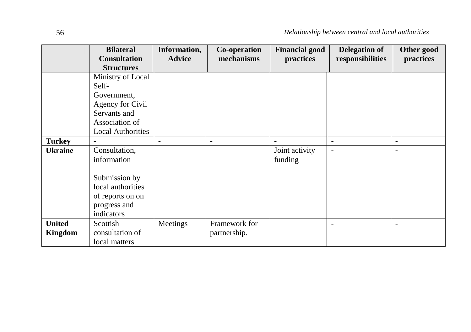|                          | <b>Bilateral</b><br><b>Consultation</b><br><b>Structures</b>                                                                | Information,<br><b>Advice</b> | Co-operation<br>mechanisms    | <b>Financial good</b><br>practices | <b>Delegation of</b><br>responsibilities | Other good<br>practices  |
|--------------------------|-----------------------------------------------------------------------------------------------------------------------------|-------------------------------|-------------------------------|------------------------------------|------------------------------------------|--------------------------|
|                          | Ministry of Local<br>Self-<br>Government.<br>Agency for Civil<br>Servants and<br>Association of<br><b>Local Authorities</b> |                               |                               |                                    |                                          |                          |
| <b>Turkey</b>            | $\overline{\phantom{a}}$                                                                                                    | $\overline{\phantom{a}}$      | $\overline{\phantom{a}}$      | ٠                                  | $\overline{\phantom{a}}$                 | $\overline{\phantom{a}}$ |
| <b>Ukraine</b>           | Consultation,<br>information<br>Submission by<br>local authorities<br>of reports on on<br>progress and<br>indicators        |                               |                               | Joint activity<br>funding          | $\overline{\phantom{a}}$                 |                          |
| <b>United</b><br>Kingdom | Scottish<br>consultation of<br>local matters                                                                                | Meetings                      | Framework for<br>partnership. |                                    |                                          |                          |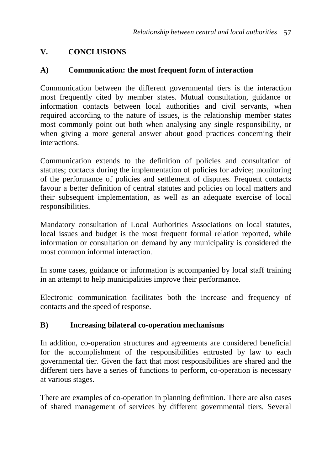## **V. CONCLUSIONS**

#### **A) Communication: the most frequent form of interaction**

Communication between the different governmental tiers is the interaction most frequently cited by member states. Mutual consultation, guidance or information contacts between local authorities and civil servants, when required according to the nature of issues, is the relationship member states most commonly point out both when analysing any single responsibility, or when giving a more general answer about good practices concerning their interactions.

Communication extends to the definition of policies and consultation of statutes; contacts during the implementation of policies for advice; monitoring of the performance of policies and settlement of disputes. Frequent contacts favour a better definition of central statutes and policies on local matters and their subsequent implementation, as well as an adequate exercise of local responsibilities.

Mandatory consultation of Local Authorities Associations on local statutes, local issues and budget is the most frequent formal relation reported, while information or consultation on demand by any municipality is considered the most common informal interaction.

In some cases, guidance or information is accompanied by local staff training in an attempt to help municipalities improve their performance.

Electronic communication facilitates both the increase and frequency of contacts and the speed of response.

## **B) Increasing bilateral co-operation mechanisms**

In addition, co-operation structures and agreements are considered beneficial for the accomplishment of the responsibilities entrusted by law to each governmental tier. Given the fact that most responsibilities are shared and the different tiers have a series of functions to perform, co-operation is necessary at various stages.

There are examples of co-operation in planning definition. There are also cases of shared management of services by different governmental tiers. Several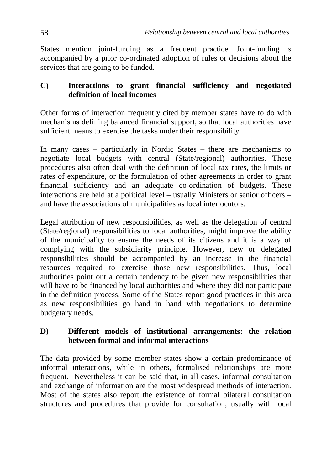States mention joint-funding as a frequent practice. Joint-funding is accompanied by a prior co-ordinated adoption of rules or decisions about the services that are going to be funded.

#### **C) Interactions to grant financial sufficiency and negotiated definition of local incomes**

Other forms of interaction frequently cited by member states have to do with mechanisms defining balanced financial support, so that local authorities have sufficient means to exercise the tasks under their responsibility.

In many cases – particularly in Nordic States – there are mechanisms to negotiate local budgets with central (State/regional) authorities. These procedures also often deal with the definition of local tax rates, the limits or rates of expenditure, or the formulation of other agreements in order to grant financial sufficiency and an adequate co-ordination of budgets. These interactions are held at a political level – usually Ministers or senior officers – and have the associations of municipalities as local interlocutors.

Legal attribution of new responsibilities, as well as the delegation of central (State/regional) responsibilities to local authorities, might improve the ability of the municipality to ensure the needs of its citizens and it is a way of complying with the subsidiarity principle. However, new or delegated responsibilities should be accompanied by an increase in the financial resources required to exercise those new responsibilities. Thus, local authorities point out a certain tendency to be given new responsibilities that will have to be financed by local authorities and where they did not participate in the definition process. Some of the States report good practices in this area as new responsibilities go hand in hand with negotiations to determine budgetary needs.

#### **D) Different models of institutional arrangements: the relation between formal and informal interactions**

The data provided by some member states show a certain predominance of informal interactions, while in others, formalised relationships are more frequent. Nevertheless it can be said that, in all cases, informal consultation and exchange of information are the most widespread methods of interaction. Most of the states also report the existence of formal bilateral consultation structures and procedures that provide for consultation, usually with local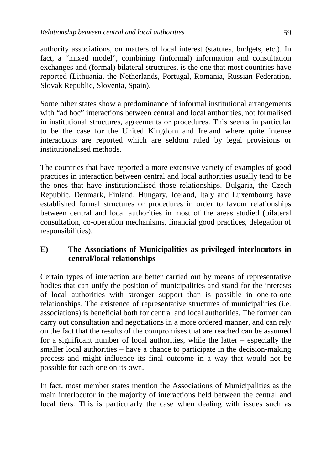authority associations, on matters of local interest (statutes, budgets, etc.). In fact, a "mixed model", combining (informal) information and consultation exchanges and (formal) bilateral structures, is the one that most countries have reported (Lithuania, the Netherlands, Portugal, Romania, Russian Federation, Slovak Republic, Slovenia, Spain).

Some other states show a predominance of informal institutional arrangements with "ad hoc" interactions between central and local authorities, not formalised in institutional structures, agreements or procedures. This seems in particular to be the case for the United Kingdom and Ireland where quite intense interactions are reported which are seldom ruled by legal provisions or institutionalised methods.

The countries that have reported a more extensive variety of examples of good practices in interaction between central and local authorities usually tend to be the ones that have institutionalised those relationships. Bulgaria, the Czech Republic, Denmark, Finland, Hungary, Iceland, Italy and Luxembourg have established formal structures or procedures in order to favour relationships between central and local authorities in most of the areas studied (bilateral consultation, co-operation mechanisms, financial good practices, delegation of responsibilities).

#### **E) The Associations of Municipalities as privileged interlocutors in central/local relationships**

Certain types of interaction are better carried out by means of representative bodies that can unify the position of municipalities and stand for the interests of local authorities with stronger support than is possible in one-to-one relationships. The existence of representative structures of municipalities (i.e. associations) is beneficial both for central and local authorities. The former can carry out consultation and negotiations in a more ordered manner, and can rely on the fact that the results of the compromises that are reached can be assumed for a significant number of local authorities, while the latter – especially the smaller local authorities – have a chance to participate in the decision-making process and might influence its final outcome in a way that would not be possible for each one on its own.

In fact, most member states mention the Associations of Municipalities as the main interlocutor in the majority of interactions held between the central and local tiers. This is particularly the case when dealing with issues such as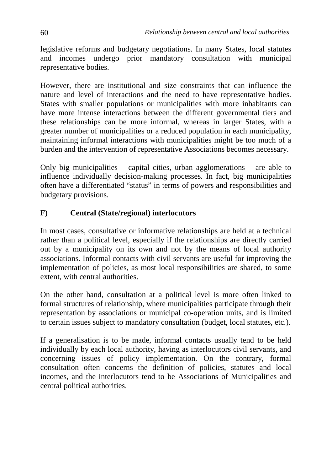legislative reforms and budgetary negotiations. In many States, local statutes and incomes undergo prior mandatory consultation with municipal representative bodies.

However, there are institutional and size constraints that can influence the nature and level of interactions and the need to have representative bodies. States with smaller populations or municipalities with more inhabitants can have more intense interactions between the different governmental tiers and these relationships can be more informal, whereas in larger States, with a greater number of municipalities or a reduced population in each municipality, maintaining informal interactions with municipalities might be too much of a burden and the intervention of representative Associations becomes necessary.

Only big municipalities – capital cities, urban agglomerations – are able to influence individually decision-making processes. In fact, big municipalities often have a differentiated "status" in terms of powers and responsibilities and budgetary provisions.

#### **F) Central (State/regional) interlocutors**

In most cases, consultative or informative relationships are held at a technical rather than a political level, especially if the relationships are directly carried out by a municipality on its own and not by the means of local authority associations. Informal contacts with civil servants are useful for improving the implementation of policies, as most local responsibilities are shared, to some extent, with central authorities.

On the other hand, consultation at a political level is more often linked to formal structures of relationship, where municipalities participate through their representation by associations or municipal co-operation units, and is limited to certain issues subject to mandatory consultation (budget, local statutes, etc.).

If a generalisation is to be made, informal contacts usually tend to be held individually by each local authority, having as interlocutors civil servants, and concerning issues of policy implementation. On the contrary, formal consultation often concerns the definition of policies, statutes and local incomes, and the interlocutors tend to be Associations of Municipalities and central political authorities.